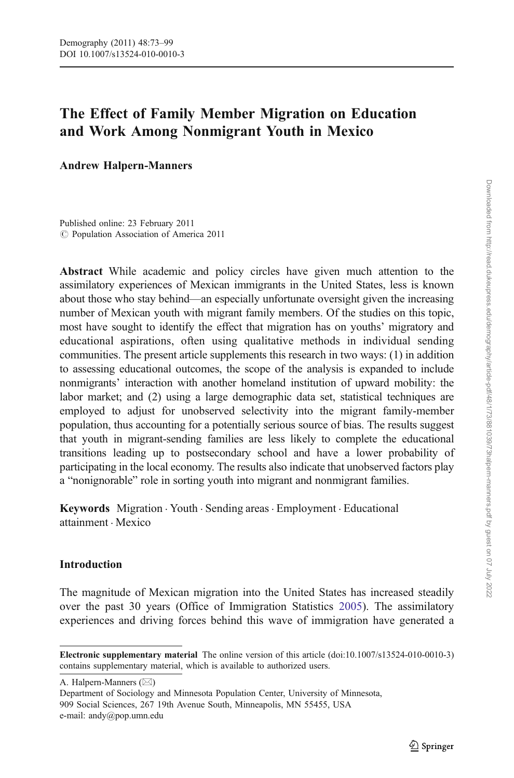# The Effect of Family Member Migration on Education and Work Among Nonmigrant Youth in Mexico

Andrew Halpern-Manners

Published online: 23 February 2011  $\oslash$  Population Association of America 2011

Abstract While academic and policy circles have given much attention to the assimilatory experiences of Mexican immigrants in the United States, less is known about those who stay behind—an especially unfortunate oversight given the increasing number of Mexican youth with migrant family members. Of the studies on this topic, most have sought to identify the effect that migration has on youths' migratory and educational aspirations, often using qualitative methods in individual sending communities. The present article supplements this research in two ways: (1) in addition to assessing educational outcomes, the scope of the analysis is expanded to include nonmigrants' interaction with another homeland institution of upward mobility: the labor market; and (2) using a large demographic data set, statistical techniques are employed to adjust for unobserved selectivity into the migrant family-member population, thus accounting for a potentially serious source of bias. The results suggest that youth in migrant-sending families are less likely to complete the educational transitions leading up to postsecondary school and have a lower probability of participating in the local economy. The results also indicate that unobserved factors play a "nonignorable" role in sorting youth into migrant and nonmigrant families.

Keywords Migration . Youth . Sending areas . Employment . Educational attainment . Mexico

## Introduction

The magnitude of Mexican migration into the United States has increased steadily over the past 30 years (Office of Immigration Statistics [2005\)](#page-25-0). The assimilatory experiences and driving forces behind this wave of immigration have generated a

Electronic supplementary material The online version of this article (doi[:10.1007/s13524-010-0010-3\)](dx.doi.org/10.1007/s13524-010-0010-3) contains supplementary material, which is available to authorized users.

A. Halpern-Manners  $(\boxtimes)$ 

Department of Sociology and Minnesota Population Center, University of Minnesota, 909 Social Sciences, 267 19th Avenue South, Minneapolis, MN 55455, USA e-mail: andy@pop.umn.edu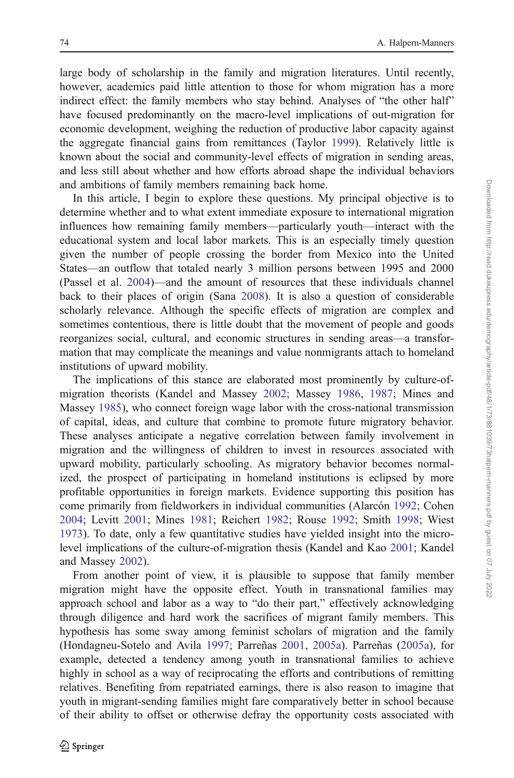large body of scholarship in the family and migration literatures. Until recently, however, academics paid little attention to those for whom migration has a more indirect effect: the family members who stay behind. Analyses of "the other half" have focused predominantly on the macro-level implications of out-migration for economic development, weighing the reduction of productive labor capacity against the aggregate financial gains from remittances (Taylor [1999](#page-26-0)). Relatively little is known about the social and community-level effects of migration in sending areas, and less still about whether and how efforts abroad shape the individual behaviors and ambitions of family members remaining back home.

In this article, I begin to explore these questions. My principal objective is to determine whether and to what extent immediate exposure to international migration influences how remaining family members—particularly youth—interact with the educational system and local labor markets. This is an especially timely question given the number of people crossing the border from Mexico into the United States—an outflow that totaled nearly 3 million persons between 1995 and 2000 (Passel et al. [2004\)](#page-25-0)—and the amount of resources that these individuals channel back to their places of origin (Sana [2008](#page-26-0)). It is also a question of considerable scholarly relevance. Although the specific effects of migration are complex and sometimes contentious, there is little doubt that the movement of people and goods reorganizes social, cultural, and economic structures in sending areas—a transformation that may complicate the meanings and value nonmigrants attach to homeland institutions of upward mobility.

The implications of this stance are elaborated most prominently by culture-ofmigration theorists (Kandel and Massey [2002](#page-24-0); Massey [1986](#page-25-0), [1987](#page-25-0); Mines and Massey [1985](#page-25-0)), who connect foreign wage labor with the cross-national transmission of capital, ideas, and culture that combine to promote future migratory behavior. These analyses anticipate a negative correlation between family involvement in migration and the willingness of children to invest in resources associated with upward mobility, particularly schooling. As migratory behavior becomes normalized, the prospect of participating in homeland institutions is eclipsed by more profitable opportunities in foreign markets. Evidence supporting this position has come primarily from fieldworkers in individual communities (Alarcón [1992;](#page-23-0) Cohen [2004;](#page-24-0) Levitt [2001;](#page-25-0) Mines [1981](#page-25-0); Reichert [1982](#page-26-0); Rouse [1992](#page-26-0); Smith [1998;](#page-26-0) Wiest [1973\)](#page-26-0). To date, only a few quantitative studies have yielded insight into the microlevel implications of the culture-of-migration thesis (Kandel and Kao [2001;](#page-24-0) Kandel and Massey [2002](#page-24-0)).

From another point of view, it is plausible to suppose that family member migration might have the opposite effect. Youth in transnational families may approach school and labor as a way to "do their part," effectively acknowledging through diligence and hard work the sacrifices of migrant family members. This hypothesis has some sway among feminist scholars of migration and the family (Hondagneu-Sotelo and Avila [1997](#page-24-0); Parreñas [2001,](#page-25-0) [2005a\)](#page-25-0). Parreñas ([2005a](#page-25-0)), for example, detected a tendency among youth in transnational families to achieve highly in school as a way of reciprocating the efforts and contributions of remitting relatives. Benefiting from repatriated earnings, there is also reason to imagine that youth in migrant-sending families might fare comparatively better in school because of their ability to offset or otherwise defray the opportunity costs associated with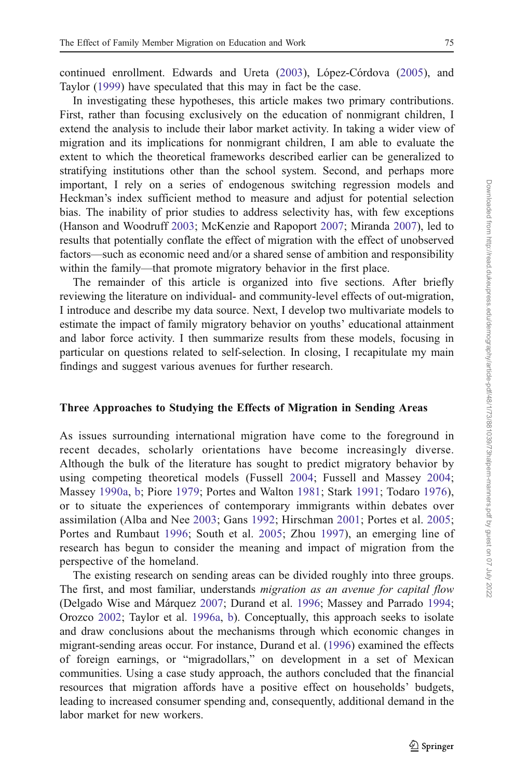In investigating these hypotheses, this article makes two primary contributions. First, rather than focusing exclusively on the education of nonmigrant children, I extend the analysis to include their labor market activity. In taking a wider view of migration and its implications for nonmigrant children, I am able to evaluate the extent to which the theoretical frameworks described earlier can be generalized to stratifying institutions other than the school system. Second, and perhaps more important, I rely on a series of endogenous switching regression models and Heckman's index sufficient method to measure and adjust for potential selection bias. The inability of prior studies to address selectivity has, with few exceptions (Hanson and Woodruff [2003;](#page-24-0) McKenzie and Rapoport [2007](#page-25-0); Miranda [2007\)](#page-25-0), led to results that potentially conflate the effect of migration with the effect of unobserved factors—such as economic need and/or a shared sense of ambition and responsibility within the family—that promote migratory behavior in the first place.

The remainder of this article is organized into five sections. After briefly reviewing the literature on individual- and community-level effects of out-migration, I introduce and describe my data source. Next, I develop two multivariate models to estimate the impact of family migratory behavior on youths' educational attainment and labor force activity. I then summarize results from these models, focusing in particular on questions related to self-selection. In closing, I recapitulate my main findings and suggest various avenues for further research.

#### Three Approaches to Studying the Effects of Migration in Sending Areas

As issues surrounding international migration have come to the foreground in recent decades, scholarly orientations have become increasingly diverse. Although the bulk of the literature has sought to predict migratory behavior by using competing theoretical models (Fussell [2004](#page-24-0); Fussell and Massey [2004;](#page-24-0) Massey [1990a,](#page-25-0) [b](#page-25-0); Piore [1979;](#page-25-0) Portes and Walton [1981;](#page-26-0) Stark [1991;](#page-26-0) Todaro [1976\)](#page-26-0), or to situate the experiences of contemporary immigrants within debates over assimilation (Alba and Nee [2003;](#page-23-0) Gans [1992](#page-24-0); Hirschman [2001;](#page-24-0) Portes et al. [2005;](#page-26-0) Portes and Rumbaut [1996;](#page-25-0) South et al. [2005;](#page-26-0) Zhou [1997\)](#page-26-0), an emerging line of research has begun to consider the meaning and impact of migration from the perspective of the homeland.

The existing research on sending areas can be divided roughly into three groups. The first, and most familiar, understands *migration as an avenue for capital flow* (Delgado Wise and Márquez [2007](#page-24-0); Durand et al. [1996;](#page-24-0) Massey and Parrado [1994;](#page-25-0) Orozco [2002;](#page-25-0) Taylor et al. [1996a,](#page-26-0) [b\)](#page-26-0). Conceptually, this approach seeks to isolate and draw conclusions about the mechanisms through which economic changes in migrant-sending areas occur. For instance, Durand et al. [\(1996](#page-24-0)) examined the effects of foreign earnings, or "migradollars," on development in a set of Mexican communities. Using a case study approach, the authors concluded that the financial resources that migration affords have a positive effect on households' budgets, leading to increased consumer spending and, consequently, additional demand in the labor market for new workers.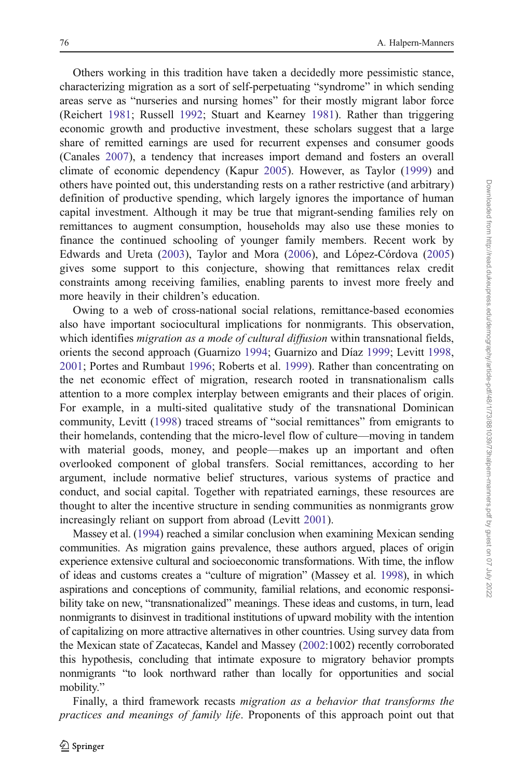Others working in this tradition have taken a decidedly more pessimistic stance, characterizing migration as a sort of self-perpetuating "syndrome" in which sending areas serve as "nurseries and nursing homes" for their mostly migrant labor force (Reichert [1981](#page-26-0); Russell [1992](#page-26-0); Stuart and Kearney [1981](#page-26-0)). Rather than triggering economic growth and productive investment, these scholars suggest that a large share of remitted earnings are used for recurrent expenses and consumer goods (Canales [2007](#page-24-0)), a tendency that increases import demand and fosters an overall climate of economic dependency (Kapur [2005\)](#page-24-0). However, as Taylor [\(1999](#page-26-0)) and others have pointed out, this understanding rests on a rather restrictive (and arbitrary) definition of productive spending, which largely ignores the importance of human capital investment. Although it may be true that migrant-sending families rely on remittances to augment consumption, households may also use these monies to finance the continued schooling of younger family members. Recent work by Edwards and Ureta [\(2003](#page-24-0)), Taylor and Mora [\(2006](#page-26-0)), and López-Córdova [\(2005](#page-25-0)) gives some support to this conjecture, showing that remittances relax credit constraints among receiving families, enabling parents to invest more freely and more heavily in their children's education.

Owing to a web of cross-national social relations, remittance-based economies also have important sociocultural implications for nonmigrants. This observation, which identifies *migration as a mode of cultural diffusion* within transnational fields, orients the second approach (Guarnizo [1994;](#page-24-0) Guarnizo and Díaz [1999;](#page-24-0) Levitt [1998,](#page-25-0) [2001;](#page-25-0) Portes and Rumbaut [1996](#page-25-0); Roberts et al. [1999](#page-26-0)). Rather than concentrating on the net economic effect of migration, research rooted in transnationalism calls attention to a more complex interplay between emigrants and their places of origin. For example, in a multi-sited qualitative study of the transnational Dominican community, Levitt ([1998\)](#page-25-0) traced streams of "social remittances" from emigrants to their homelands, contending that the micro-level flow of culture—moving in tandem with material goods, money, and people—makes up an important and often overlooked component of global transfers. Social remittances, according to her argument, include normative belief structures, various systems of practice and conduct, and social capital. Together with repatriated earnings, these resources are thought to alter the incentive structure in sending communities as nonmigrants grow increasingly reliant on support from abroad (Levitt [2001\)](#page-25-0).

Massey et al. [\(1994\)](#page-25-0) reached a similar conclusion when examining Mexican sending communities. As migration gains prevalence, these authors argued, places of origin experience extensive cultural and socioeconomic transformations. With time, the inflow of ideas and customs creates a "culture of migration" (Massey et al. [1998\)](#page-25-0), in which aspirations and conceptions of community, familial relations, and economic responsibility take on new, "transnationalized" meanings. These ideas and customs, in turn, lead nonmigrants to disinvest in traditional institutions of upward mobility with the intention of capitalizing on more attractive alternatives in other countries. Using survey data from the Mexican state of Zacatecas, Kandel and Massey ([2002](#page-24-0):1002) recently corroborated this hypothesis, concluding that intimate exposure to migratory behavior prompts nonmigrants "to look northward rather than locally for opportunities and social mobility."

Finally, a third framework recasts migration as a behavior that transforms the practices and meanings of family life. Proponents of this approach point out that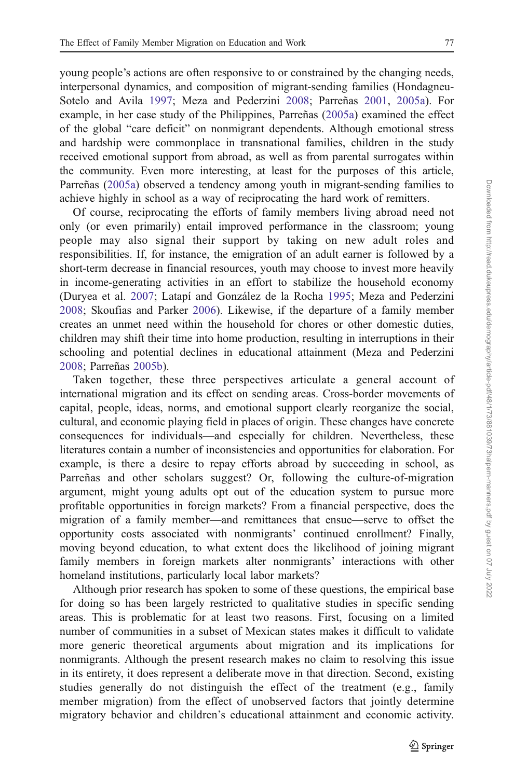young people's actions are often responsive to or constrained by the changing needs, interpersonal dynamics, and composition of migrant-sending families (Hondagneu-Sotelo and Avila [1997;](#page-24-0) Meza and Pederzini [2008;](#page-25-0) Parreñas [2001,](#page-25-0) [2005a\)](#page-25-0). For example, in her case study of the Philippines, Parreñas ([2005a\)](#page-25-0) examined the effect of the global "care deficit" on nonmigrant dependents. Although emotional stress and hardship were commonplace in transnational families, children in the study received emotional support from abroad, as well as from parental surrogates within the community. Even more interesting, at least for the purposes of this article, Parreñas ([2005a\)](#page-25-0) observed a tendency among youth in migrant-sending families to achieve highly in school as a way of reciprocating the hard work of remitters.

Of course, reciprocating the efforts of family members living abroad need not only (or even primarily) entail improved performance in the classroom; young people may also signal their support by taking on new adult roles and responsibilities. If, for instance, the emigration of an adult earner is followed by a short-term decrease in financial resources, youth may choose to invest more heavily in income-generating activities in an effort to stabilize the household economy (Duryea et al. [2007;](#page-24-0) Latapí and González de la Rocha [1995](#page-25-0); Meza and Pederzini [2008;](#page-25-0) Skoufias and Parker [2006\)](#page-26-0). Likewise, if the departure of a family member creates an unmet need within the household for chores or other domestic duties, children may shift their time into home production, resulting in interruptions in their schooling and potential declines in educational attainment (Meza and Pederzini [2008;](#page-25-0) Parreñas [2005b](#page-25-0)).

Taken together, these three perspectives articulate a general account of international migration and its effect on sending areas. Cross-border movements of capital, people, ideas, norms, and emotional support clearly reorganize the social, cultural, and economic playing field in places of origin. These changes have concrete consequences for individuals—and especially for children. Nevertheless, these literatures contain a number of inconsistencies and opportunities for elaboration. For example, is there a desire to repay efforts abroad by succeeding in school, as Parreñas and other scholars suggest? Or, following the culture-of-migration argument, might young adults opt out of the education system to pursue more profitable opportunities in foreign markets? From a financial perspective, does the migration of a family member—and remittances that ensue—serve to offset the opportunity costs associated with nonmigrants' continued enrollment? Finally, moving beyond education, to what extent does the likelihood of joining migrant family members in foreign markets alter nonmigrants' interactions with other homeland institutions, particularly local labor markets?

Although prior research has spoken to some of these questions, the empirical base for doing so has been largely restricted to qualitative studies in specific sending areas. This is problematic for at least two reasons. First, focusing on a limited number of communities in a subset of Mexican states makes it difficult to validate more generic theoretical arguments about migration and its implications for nonmigrants. Although the present research makes no claim to resolving this issue in its entirety, it does represent a deliberate move in that direction. Second, existing studies generally do not distinguish the effect of the treatment (e.g., family member migration) from the effect of unobserved factors that jointly determine migratory behavior and children's educational attainment and economic activity.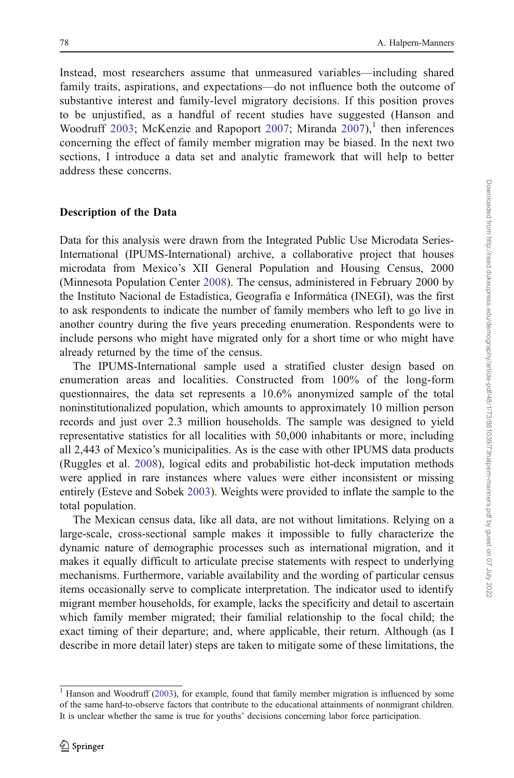Instead, most researchers assume that unmeasured variables—including shared family traits, aspirations, and expectations—do not influence both the outcome of substantive interest and family-level migratory decisions. If this position proves to be unjustified, as a handful of recent studies have suggested (Hanson and Woodruff [2003;](#page-24-0) McKenzie and Rapoport [2007](#page-25-0); Miranda 2007),<sup>1</sup> then inferences concerning the effect of family member migration may be biased. In the next two sections, I introduce a data set and analytic framework that will help to better address these concerns.

# Description of the Data

Data for this analysis were drawn from the Integrated Public Use Microdata Series-International (IPUMS-International) archive, a collaborative project that houses microdata from Mexico's XII General Population and Housing Census, 2000 (Minnesota Population Center [2008\)](#page-25-0). The census, administered in February 2000 by the Instituto Nacional de Estadística, Geografía e Informática (INEGI), was the first to ask respondents to indicate the number of family members who left to go live in another country during the five years preceding enumeration. Respondents were to include persons who might have migrated only for a short time or who might have already returned by the time of the census.

The IPUMS-International sample used a stratified cluster design based on enumeration areas and localities. Constructed from 100% of the long-form questionnaires, the data set represents a 10.6% anonymized sample of the total noninstitutionalized population, which amounts to approximately 10 million person records and just over 2.3 million households. The sample was designed to yield representative statistics for all localities with 50,000 inhabitants or more, including all 2,443 of Mexico's municipalities. As is the case with other IPUMS data products (Ruggles et al. [2008](#page-26-0)), logical edits and probabilistic hot-deck imputation methods were applied in rare instances where values were either inconsistent or missing entirely (Esteve and Sobek [2003](#page-24-0)). Weights were provided to inflate the sample to the total population.

The Mexican census data, like all data, are not without limitations. Relying on a large-scale, cross-sectional sample makes it impossible to fully characterize the dynamic nature of demographic processes such as international migration, and it makes it equally difficult to articulate precise statements with respect to underlying mechanisms. Furthermore, variable availability and the wording of particular census items occasionally serve to complicate interpretation. The indicator used to identify migrant member households, for example, lacks the specificity and detail to ascertain which family member migrated; their familial relationship to the focal child; the exact timing of their departure; and, where applicable, their return. Although (as I describe in more detail later) steps are taken to mitigate some of these limitations, the

 $1$  Hanson and Woodruff [\(2003](#page-24-0)), for example, found that family member migration is influenced by some of the same hard-to-observe factors that contribute to the educational attainments of nonmigrant children. It is unclear whether the same is true for youths' decisions concerning labor force participation.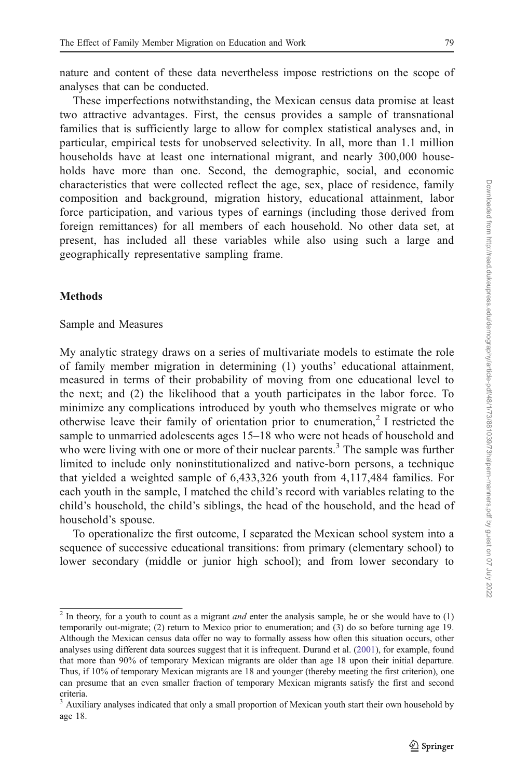nature and content of these data nevertheless impose restrictions on the scope of analyses that can be conducted.

These imperfections notwithstanding, the Mexican census data promise at least two attractive advantages. First, the census provides a sample of transnational families that is sufficiently large to allow for complex statistical analyses and, in particular, empirical tests for unobserved selectivity. In all, more than 1.1 million households have at least one international migrant, and nearly 300,000 households have more than one. Second, the demographic, social, and economic characteristics that were collected reflect the age, sex, place of residence, family composition and background, migration history, educational attainment, labor force participation, and various types of earnings (including those derived from foreign remittances) for all members of each household. No other data set, at present, has included all these variables while also using such a large and geographically representative sampling frame.

# Methods

# Sample and Measures

My analytic strategy draws on a series of multivariate models to estimate the role of family member migration in determining (1) youths' educational attainment, measured in terms of their probability of moving from one educational level to the next; and (2) the likelihood that a youth participates in the labor force. To minimize any complications introduced by youth who themselves migrate or who otherwise leave their family of orientation prior to enumeration, $2$  I restricted the sample to unmarried adolescents ages 15–18 who were not heads of household and who were living with one or more of their nuclear parents.<sup>3</sup> The sample was further limited to include only noninstitutionalized and native-born persons, a technique that yielded a weighted sample of 6,433,326 youth from 4,117,484 families. For each youth in the sample, I matched the child's record with variables relating to the child's household, the child's siblings, the head of the household, and the head of household's spouse.

To operationalize the first outcome, I separated the Mexican school system into a sequence of successive educational transitions: from primary (elementary school) to lower secondary (middle or junior high school); and from lower secondary to

 $2$  In theory, for a youth to count as a migrant *and* enter the analysis sample, he or she would have to  $(1)$ temporarily out-migrate; (2) return to Mexico prior to enumeration; and (3) do so before turning age 19. Although the Mexican census data offer no way to formally assess how often this situation occurs, other analyses using different data sources suggest that it is infrequent. Durand et al. [\(2001](#page-24-0)), for example, found that more than 90% of temporary Mexican migrants are older than age 18 upon their initial departure. Thus, if 10% of temporary Mexican migrants are 18 and younger (thereby meeting the first criterion), one can presume that an even smaller fraction of temporary Mexican migrants satisfy the first and second criteria.

<sup>&</sup>lt;sup>3</sup> Auxiliary analyses indicated that only a small proportion of Mexican youth start their own household by age 18.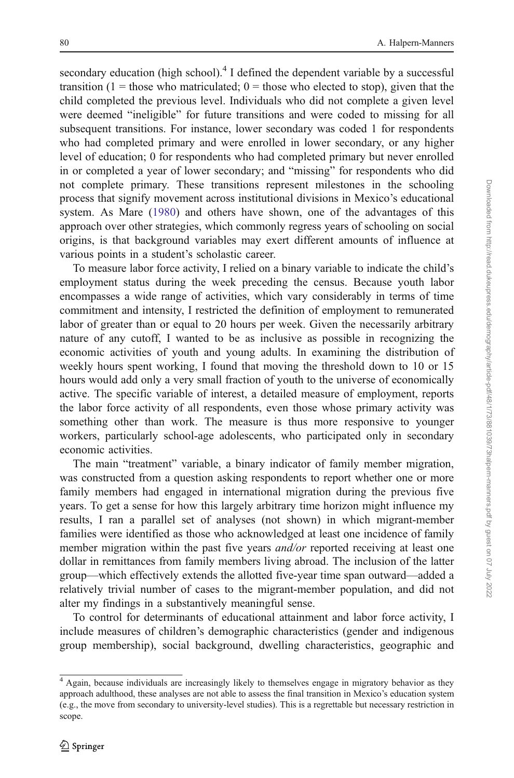secondary education (high school).<sup>4</sup> I defined the dependent variable by a successful transition (1 = those who matriculated;  $0 =$  those who elected to stop), given that the child completed the previous level. Individuals who did not complete a given level were deemed "ineligible" for future transitions and were coded to missing for all subsequent transitions. For instance, lower secondary was coded 1 for respondents who had completed primary and were enrolled in lower secondary, or any higher level of education; 0 for respondents who had completed primary but never enrolled in or completed a year of lower secondary; and "missing" for respondents who did not complete primary. These transitions represent milestones in the schooling process that signify movement across institutional divisions in Mexico's educational system. As Mare [\(1980](#page-25-0)) and others have shown, one of the advantages of this approach over other strategies, which commonly regress years of schooling on social origins, is that background variables may exert different amounts of influence at various points in a student's scholastic career.

To measure labor force activity, I relied on a binary variable to indicate the child's employment status during the week preceding the census. Because youth labor encompasses a wide range of activities, which vary considerably in terms of time commitment and intensity, I restricted the definition of employment to remunerated labor of greater than or equal to 20 hours per week. Given the necessarily arbitrary nature of any cutoff, I wanted to be as inclusive as possible in recognizing the economic activities of youth and young adults. In examining the distribution of weekly hours spent working, I found that moving the threshold down to 10 or 15 hours would add only a very small fraction of youth to the universe of economically active. The specific variable of interest, a detailed measure of employment, reports the labor force activity of all respondents, even those whose primary activity was something other than work. The measure is thus more responsive to younger workers, particularly school-age adolescents, who participated only in secondary economic activities.

The main "treatment" variable, a binary indicator of family member migration, was constructed from a question asking respondents to report whether one or more family members had engaged in international migration during the previous five years. To get a sense for how this largely arbitrary time horizon might influence my results, I ran a parallel set of analyses (not shown) in which migrant-member families were identified as those who acknowledged at least one incidence of family member migration within the past five years *and/or* reported receiving at least one dollar in remittances from family members living abroad. The inclusion of the latter group—which effectively extends the allotted five-year time span outward—added a relatively trivial number of cases to the migrant-member population, and did not alter my findings in a substantively meaningful sense.

To control for determinants of educational attainment and labor force activity, I include measures of children's demographic characteristics (gender and indigenous group membership), social background, dwelling characteristics, geographic and

<sup>4</sup> Again, because individuals are increasingly likely to themselves engage in migratory behavior as they approach adulthood, these analyses are not able to assess the final transition in Mexico's education system (e.g., the move from secondary to university-level studies). This is a regrettable but necessary restriction in scope.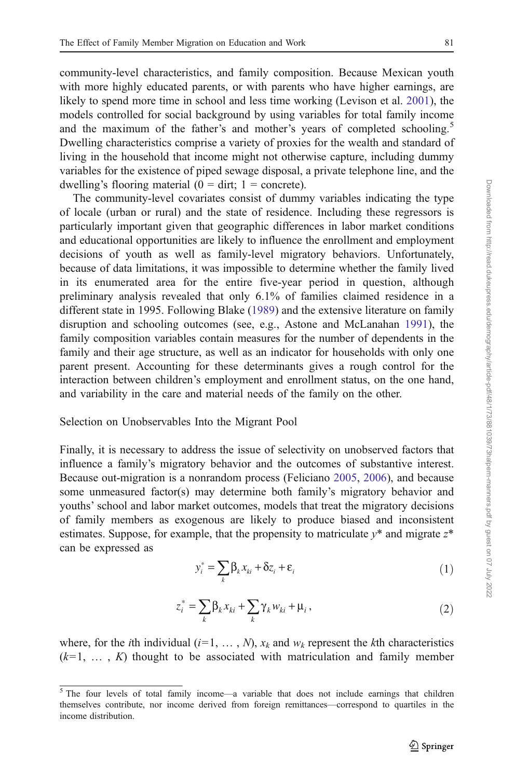<span id="page-8-0"></span>community-level characteristics, and family composition. Because Mexican youth with more highly educated parents, or with parents who have higher earnings, are likely to spend more time in school and less time working (Levison et al. [2001\)](#page-25-0), the models controlled for social background by using variables for total family income and the maximum of the father's and mother's years of completed schooling.<sup>5</sup> Dwelling characteristics comprise a variety of proxies for the wealth and standard of living in the household that income might not otherwise capture, including dummy variables for the existence of piped sewage disposal, a private telephone line, and the dwelling's flooring material ( $0 = \text{dirt}$ ; 1 = concrete).

The community-level covariates consist of dummy variables indicating the type of locale (urban or rural) and the state of residence. Including these regressors is particularly important given that geographic differences in labor market conditions and educational opportunities are likely to influence the enrollment and employment decisions of youth as well as family-level migratory behaviors. Unfortunately, because of data limitations, it was impossible to determine whether the family lived in its enumerated area for the entire five-year period in question, although preliminary analysis revealed that only 6.1% of families claimed residence in a different state in 1995. Following Blake [\(1989](#page-24-0)) and the extensive literature on family disruption and schooling outcomes (see, e.g., Astone and McLanahan [1991](#page-24-0)), the family composition variables contain measures for the number of dependents in the family and their age structure, as well as an indicator for households with only one parent present. Accounting for these determinants gives a rough control for the interaction between children's employment and enrollment status, on the one hand, and variability in the care and material needs of the family on the other.

#### Selection on Unobservables Into the Migrant Pool

Finally, it is necessary to address the issue of selectivity on unobserved factors that influence a family's migratory behavior and the outcomes of substantive interest. Because out-migration is a nonrandom process (Feliciano [2005](#page-24-0), [2006\)](#page-24-0), and because some unmeasured factor(s) may determine both family's migratory behavior and youths' school and labor market outcomes, models that treat the migratory decisions of family members as exogenous are likely to produce biased and inconsistent estimates. Suppose, for example, that the propensity to matriculate  $y^*$  and migrate  $z^*$ can be expressed as

$$
y_i^* = \sum_k \beta_k x_{ki} + \delta z_i + \varepsilon_i
$$
 (1)

$$
z_i^* = \sum_k \beta_k x_{ki} + \sum_k \gamma_k w_{ki} + \mu_i, \qquad (2)
$$

where, for the *i*th individual (*i*=1, ..., *N*),  $x_k$  and  $w_k$  represent the *k*th characteristics  $(k=1, \ldots, K)$  thought to be associated with matriculation and family member

 $\frac{5}{10}$  The four levels of total family income—a variable that does not include earnings that children themselves contribute, nor income derived from foreign remittances—correspond to quartiles in the income distribution.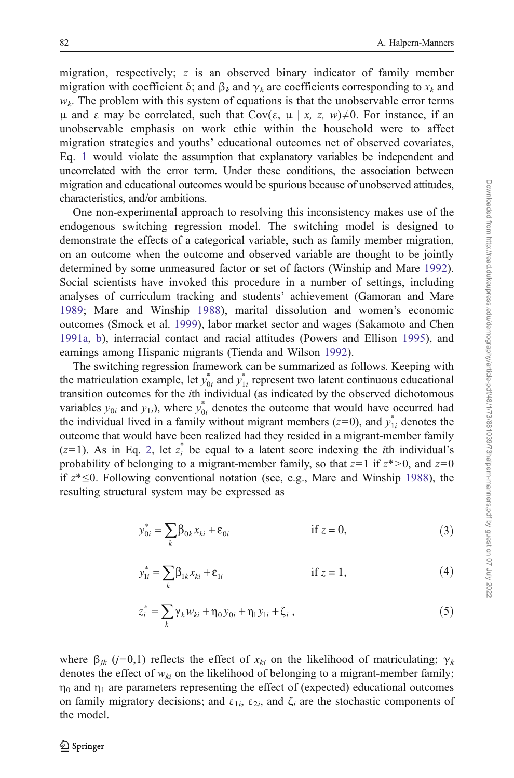<span id="page-9-0"></span>migration, respectively; z is an observed binary indicator of family member migration with coefficient δ; and  $\beta_k$  and  $\gamma_k$  are coefficients corresponding to  $x_k$  and  $w_k$ . The problem with this system of equations is that the unobservable error terms μ and ε may be correlated, such that  $Cov(\varepsilon, \mu | x, z, w) \neq 0$ . For instance, if an unobservable emphasis on work ethic within the household were to affect migration strategies and youths' educational outcomes net of observed covariates, Eq. [1](#page-8-0) would violate the assumption that explanatory variables be independent and uncorrelated with the error term. Under these conditions, the association between migration and educational outcomes would be spurious because of unobserved attitudes, characteristics, and/or ambitions.

One non-experimental approach to resolving this inconsistency makes use of the endogenous switching regression model. The switching model is designed to demonstrate the effects of a categorical variable, such as family member migration, on an outcome when the outcome and observed variable are thought to be jointly determined by some unmeasured factor or set of factors (Winship and Mare [1992\)](#page-26-0). Social scientists have invoked this procedure in a number of settings, including analyses of curriculum tracking and students' achievement (Gamoran and Mare [1989](#page-24-0); Mare and Winship [1988\)](#page-25-0), marital dissolution and women's economic outcomes (Smock et al. [1999\)](#page-26-0), labor market sector and wages (Sakamoto and Chen [1991a](#page-26-0), [b](#page-26-0)), interracial contact and racial attitudes (Powers and Ellison [1995\)](#page-26-0), and earnings among Hispanic migrants (Tienda and Wilson [1992](#page-26-0)).

The switching regression framework can be summarized as follows. Keeping with the matriculation example, let  $y_{0i}^*$  and  $y_{1i}^*$  represent two latent continuous educational transition outcomes for the ith individual (as indicated by the observed dichotomous variables  $y_{0i}$  and  $y_{1i}$ ), where  $y_{0i}^*$  denotes the outcome that would have occurred had the individual lived in a family without migrant members ( $z=0$ ), and  $y_{1i}^*$  denotes the outcome that would have been realized had they resided in a migrant-member family ( $z=1$ ). As in Eq. [2,](#page-8-0) let  $z_i^*$  be equal to a latent score indexing the *i*th individual's probability of belonging to a migrant-member family, so that  $z=1$  if  $z^*>0$ , and  $z=0$ if  $z^*$  <0. Following conventional notation (see, e.g., Mare and Winship [1988\)](#page-25-0), the resulting structural system may be expressed as

$$
y_{0i}^* = \sum_{k} \beta_{0k} x_{ki} + \varepsilon_{0i} \qquad \text{if } z = 0,
$$
 (3)

$$
y_{1i}^* = \sum_k \beta_{1k} x_{ki} + \varepsilon_{1i} \qquad \text{if } z = 1,
$$
 (4)

$$
z_i^* = \sum_k \gamma_k w_{ki} + \eta_0 y_{0i} + \eta_1 y_{1i} + \zeta_i , \qquad (5)
$$

where  $\beta_{ik}$  (j=0,1) reflects the effect of  $x_{ki}$  on the likelihood of matriculating;  $\gamma_k$ denotes the effect of  $w_{ki}$  on the likelihood of belonging to a migrant-member family;  $\eta_0$  and  $\eta_1$  are parameters representing the effect of (expected) educational outcomes on family migratory decisions; and  $\varepsilon_{1i}$ ,  $\varepsilon_{2i}$ , and  $\zeta_i$  are the stochastic components of the model.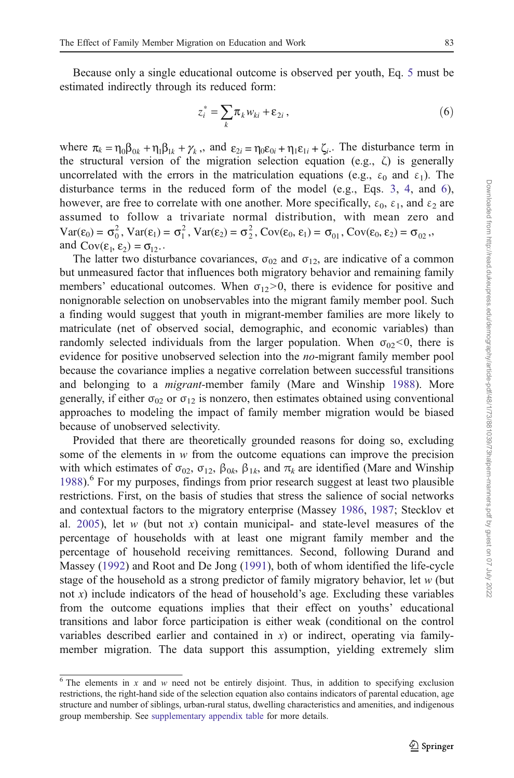<span id="page-10-0"></span>Because only a single educational outcome is observed per youth, Eq. [5](#page-9-0) must be estimated indirectly through its reduced form:

$$
z_i^* = \sum_k \pi_k w_{ki} + \varepsilon_{2i},\tag{6}
$$

where  $\pi_k = \eta_0 \beta_{0k} + \eta_1 \beta_{1k} + \gamma_k$ , and  $\varepsilon_{2i} = \eta_0 \varepsilon_{0i} + \eta_1 \varepsilon_{1i} + \zeta_i$ . The disturbance term in the structural version of the migration selection equation (e.g.,  $\zeta$ ) is generally uncorrelated with the errors in the matriculation equations (e.g.,  $\varepsilon_0$  and  $\varepsilon_1$ ). The disturbance terms in the reduced form of the model (e.g., Eqs. [3,](#page-9-0) [4](#page-9-0), and 6), however, are free to correlate with one another. More specifically,  $\varepsilon_0$ ,  $\varepsilon_1$ , and  $\varepsilon_2$  are assumed to follow a trivariate normal distribution, with mean zero and  $\text{Var}(\varepsilon_0) = \sigma_0^2$ ,  $\text{Var}(\varepsilon_1) = \sigma_1^2$ ,  $\text{Var}(\varepsilon_2) = \sigma_2^2$ ,  $\text{Cov}(\varepsilon_0, \varepsilon_1) = \sigma_{01}$ ,  $\text{Cov}(\varepsilon_0, \varepsilon_2) = \sigma_{02}$ , and  $Cov(\varepsilon_1, \varepsilon_2) = \sigma_{12}$ .

The latter two disturbance covariances,  $\sigma_{02}$  and  $\sigma_{12}$ , are indicative of a common but unmeasured factor that influences both migratory behavior and remaining family members' educational outcomes. When  $\sigma_{12}$ >0, there is evidence for positive and nonignorable selection on unobservables into the migrant family member pool. Such a finding would suggest that youth in migrant-member families are more likely to matriculate (net of observed social, demographic, and economic variables) than randomly selected individuals from the larger population. When  $\sigma_{02} < 0$ , there is evidence for positive unobserved selection into the no-migrant family member pool because the covariance implies a negative correlation between successful transitions and belonging to a migrant-member family (Mare and Winship [1988](#page-25-0)). More generally, if either  $\sigma_{02}$  or  $\sigma_{12}$  is nonzero, then estimates obtained using conventional approaches to modeling the impact of family member migration would be biased because of unobserved selectivity.

Provided that there are theoretically grounded reasons for doing so, excluding some of the elements in  $w$  from the outcome equations can improve the precision with which estimates of  $\sigma_{02}$ ,  $\sigma_{12}$ ,  $\beta_{0k}$ ,  $\beta_{1k}$ , and  $\pi_k$  are identified (Mare and Winship [1988\)](#page-25-0).<sup>6</sup> For my purposes, findings from prior research suggest at least two plausible restrictions. First, on the basis of studies that stress the salience of social networks and contextual factors to the migratory enterprise (Massey [1986](#page-25-0), [1987](#page-25-0); Stecklov et al. [2005\)](#page-26-0), let w (but not x) contain municipal- and state-level measures of the percentage of households with at least one migrant family member and the percentage of household receiving remittances. Second, following Durand and Massey [\(1992](#page-24-0)) and Root and De Jong ([1991\)](#page-26-0), both of whom identified the life-cycle stage of the household as a strong predictor of family migratory behavior, let  $w$  (but not  $x$ ) include indicators of the head of household's age. Excluding these variables from the outcome equations implies that their effect on youths' educational transitions and labor force participation is either weak (conditional on the control variables described earlier and contained in  $x$ ) or indirect, operating via familymember migration. The data support this assumption, yielding extremely slim

 $6$  The elements in x and w need not be entirely disjoint. Thus, in addition to specifying exclusion restrictions, the right-hand side of the selection equation also contains indicators of parental education, age structure and number of siblings, urban-rural status, dwelling characteristics and amenities, and indigenous group membership. See supplementary appendix table for more details.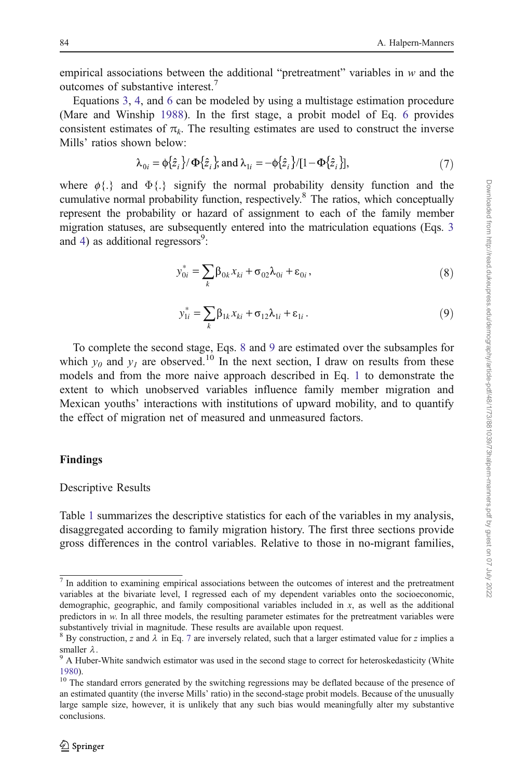empirical associations between the additional "pretreatment" variables in w and the outcomes of substantive interest.<sup>7</sup>

Equations [3,](#page-9-0) [4](#page-9-0), and [6](#page-10-0) can be modeled by using a multistage estimation procedure (Mare and Winship [1988](#page-25-0)). In the first stage, a probit model of Eq. [6](#page-10-0) provides consistent estimates of  $\pi_k$ . The resulting estimates are used to construct the inverse Mills' ratios shown below:

$$
\lambda_{0i} = \phi\{\hat{z}_i\} / \Phi\{\hat{z}_i\} \text{ and } \lambda_{1i} = -\phi\{\hat{z}_i\} / [1 - \Phi\{\hat{z}_i\}],\tag{7}
$$

where  $\phi\{\}\$  and  $\Phi\{\}\$  signify the normal probability density function and the cumulative normal probability function, respectively.<sup>8</sup> The ratios, which conceptually represent the probability or hazard of assignment to each of the family member migration statuses, are subsequently entered into the matriculation equations (Eqs. [3](#page-9-0) and [4](#page-9-0)) as additional regressors $9$ :

$$
y_{0i}^* = \sum_k \beta_{0k} x_{ki} + \sigma_{02} \lambda_{0i} + \varepsilon_{0i}, \qquad (8)
$$

$$
y_{1i}^* = \sum_k \beta_{1k} x_{ki} + \sigma_{12} \lambda_{1i} + \varepsilon_{1i}.
$$
 (9)

To complete the second stage, Eqs. 8 and 9 are estimated over the subsamples for which  $y_0$  and  $y_1$  are observed.<sup>10</sup> In the next section, I draw on results from these models and from the more naive approach described in Eq. [1](#page-8-0) to demonstrate the extent to which unobserved variables influence family member migration and Mexican youths' interactions with institutions of upward mobility, and to quantify the effect of migration net of measured and unmeasured factors.

## Findings

## Descriptive Results

Table [1](#page-12-0) summarizes the descriptive statistics for each of the variables in my analysis, disaggregated according to family migration history. The first three sections provide gross differences in the control variables. Relative to those in no-migrant families,

<sup>7</sup> In addition to examining empirical associations between the outcomes of interest and the pretreatment variables at the bivariate level, I regressed each of my dependent variables onto the socioeconomic, demographic, geographic, and family compositional variables included in  $x$ , as well as the additional predictors in w. In all three models, the resulting parameter estimates for the pretreatment variables were substantively trivial in magnitude. These results are available upon request.

<sup>&</sup>lt;sup>8</sup> By construction, z and  $\lambda$  in Eq. 7 are inversely related, such that a larger estimated value for z implies a smaller  $\lambda$ .<br><sup>9</sup> A Huber-White sandwich estimator was used in the second stage to correct for heteroskedasticity (White

[<sup>1980\)</sup>](#page-26-0).<br><sup>10</sup> The standard errors generated by the switching regressions may be deflated because of the presence of an estimated quantity (the inverse Mills' ratio) in the second-stage probit models. Because of the unusually large sample size, however, it is unlikely that any such bias would meaningfully alter my substantive conclusions.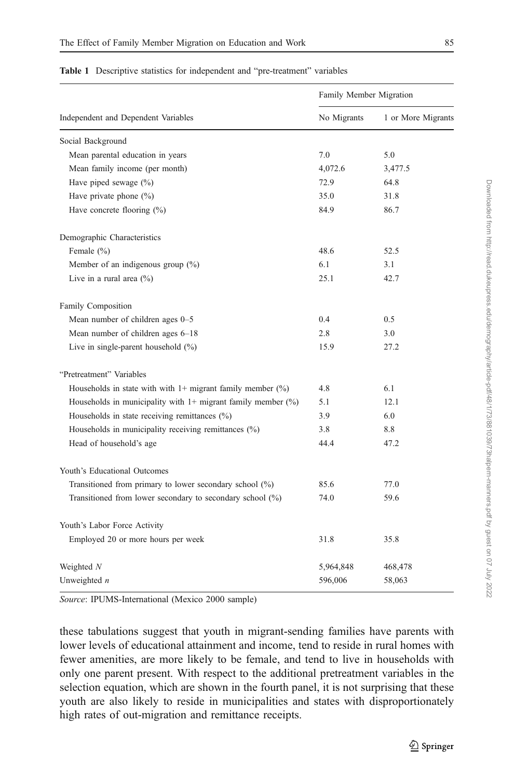|                                                                   | Family Member Migration |                    |
|-------------------------------------------------------------------|-------------------------|--------------------|
| Independent and Dependent Variables                               | No Migrants             | 1 or More Migrants |
| Social Background                                                 |                         |                    |
| Mean parental education in years                                  | 7.0                     | 5.0                |
| Mean family income (per month)                                    | 4,072.6                 | 3,477.5            |
| Have piped sewage $(\% )$                                         | 72.9                    | 64.8               |
| Have private phone $(\%)$                                         | 35.0                    | 31.8               |
| Have concrete flooring (%)                                        | 84.9                    | 86.7               |
| Demographic Characteristics                                       |                         |                    |
| Female (%)                                                        | 48.6                    | 52.5               |
| Member of an indigenous group $(\%)$                              | 6.1                     | 3.1                |
| Live in a rural area $(\% )$                                      | 25.1                    | 42.7               |
| Family Composition                                                |                         |                    |
| Mean number of children ages 0-5                                  | 0.4                     | 0.5                |
| Mean number of children ages 6-18                                 | 2.8                     | 3.0                |
| Live in single-parent household $(\%)$                            | 15.9                    | 27.2               |
| "Pretreatment" Variables                                          |                         |                    |
| Households in state with with $1+$ migrant family member $(\%)$   | 4.8                     | 6.1                |
| Households in municipality with $1+$ migrant family member $(\%)$ | 5.1                     | 12.1               |
| Households in state receiving remittances $(\%)$                  | 3.9                     | 6.0                |
| Households in municipality receiving remittances (%)              | 3.8                     | 8.8                |
| Head of household's age                                           | 44.4                    | 47.2               |
| Youth's Educational Outcomes                                      |                         |                    |
| Transitioned from primary to lower secondary school (%)           | 85.6                    | 77.0               |
| Transitioned from lower secondary to secondary school (%)         | 74.0                    | 59.6               |
| Youth's Labor Force Activity                                      |                         |                    |
| Employed 20 or more hours per week                                | 31.8                    | 35.8               |
| Weighted N                                                        | 5,964,848               | 468,478            |
| Unweighted n                                                      | 596,006                 | 58,063             |

#### <span id="page-12-0"></span>Table 1 Descriptive statistics for independent and "pre-treatment" variables

Source: IPUMS-International (Mexico 2000 sample)

these tabulations suggest that youth in migrant-sending families have parents with lower levels of educational attainment and income, tend to reside in rural homes with fewer amenities, are more likely to be female, and tend to live in households with only one parent present. With respect to the additional pretreatment variables in the selection equation, which are shown in the fourth panel, it is not surprising that these youth are also likely to reside in municipalities and states with disproportionately high rates of out-migration and remittance receipts.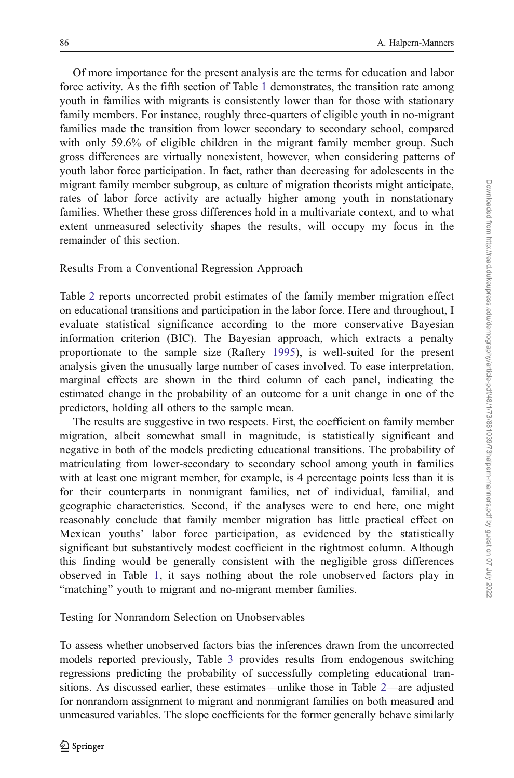Of more importance for the present analysis are the terms for education and labor force activity. As the fifth section of Table [1](#page-12-0) demonstrates, the transition rate among youth in families with migrants is consistently lower than for those with stationary family members. For instance, roughly three-quarters of eligible youth in no-migrant families made the transition from lower secondary to secondary school, compared with only 59.6% of eligible children in the migrant family member group. Such gross differences are virtually nonexistent, however, when considering patterns of youth labor force participation. In fact, rather than decreasing for adolescents in the migrant family member subgroup, as culture of migration theorists might anticipate, rates of labor force activity are actually higher among youth in nonstationary families. Whether these gross differences hold in a multivariate context, and to what extent unmeasured selectivity shapes the results, will occupy my focus in the remainder of this section.

Results From a Conventional Regression Approach

Table [2](#page-15-0) reports uncorrected probit estimates of the family member migration effect on educational transitions and participation in the labor force. Here and throughout, I evaluate statistical significance according to the more conservative Bayesian information criterion (BIC). The Bayesian approach, which extracts a penalty proportionate to the sample size (Raftery [1995\)](#page-26-0), is well-suited for the present analysis given the unusually large number of cases involved. To ease interpretation, marginal effects are shown in the third column of each panel, indicating the estimated change in the probability of an outcome for a unit change in one of the predictors, holding all others to the sample mean.

The results are suggestive in two respects. First, the coefficient on family member migration, albeit somewhat small in magnitude, is statistically significant and negative in both of the models predicting educational transitions. The probability of matriculating from lower-secondary to secondary school among youth in families with at least one migrant member, for example, is 4 percentage points less than it is for their counterparts in nonmigrant families, net of individual, familial, and geographic characteristics. Second, if the analyses were to end here, one might reasonably conclude that family member migration has little practical effect on Mexican youths' labor force participation, as evidenced by the statistically significant but substantively modest coefficient in the rightmost column. Although this finding would be generally consistent with the negligible gross differences observed in Table [1](#page-12-0), it says nothing about the role unobserved factors play in "matching" youth to migrant and no-migrant member families.

Testing for Nonrandom Selection on Unobservables

To assess whether unobserved factors bias the inferences drawn from the uncorrected models reported previously, Table [3](#page-17-0) provides results from endogenous switching regressions predicting the probability of successfully completing educational transitions. As discussed earlier, these estimates—unlike those in Table [2](#page-15-0)—are adjusted for nonrandom assignment to migrant and nonmigrant families on both measured and unmeasured variables. The slope coefficients for the former generally behave similarly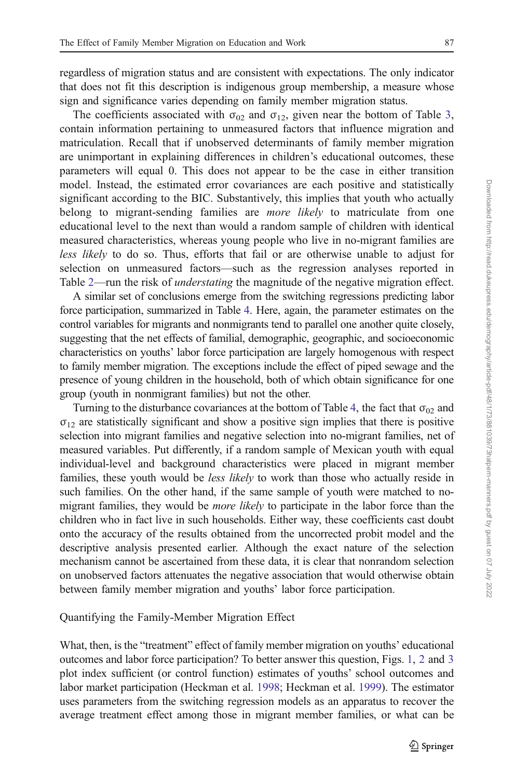regardless of migration status and are consistent with expectations. The only indicator that does not fit this description is indigenous group membership, a measure whose sign and significance varies depending on family member migration status.

The coefficients associated with  $\sigma_{02}$  and  $\sigma_{12}$ , given near the bottom of Table [3,](#page-17-0) contain information pertaining to unmeasured factors that influence migration and matriculation. Recall that if unobserved determinants of family member migration are unimportant in explaining differences in children's educational outcomes, these parameters will equal 0. This does not appear to be the case in either transition model. Instead, the estimated error covariances are each positive and statistically significant according to the BIC. Substantively, this implies that youth who actually belong to migrant-sending families are *more likely* to matriculate from one educational level to the next than would a random sample of children with identical measured characteristics, whereas young people who live in no-migrant families are less likely to do so. Thus, efforts that fail or are otherwise unable to adjust for selection on unmeasured factors—such as the regression analyses reported in Table [2](#page-15-0)—run the risk of *understating* the magnitude of the negative migration effect.

A similar set of conclusions emerge from the switching regressions predicting labor force participation, summarized in Table [4](#page-19-0). Here, again, the parameter estimates on the control variables for migrants and nonmigrants tend to parallel one another quite closely, suggesting that the net effects of familial, demographic, geographic, and socioeconomic characteristics on youths' labor force participation are largely homogenous with respect to family member migration. The exceptions include the effect of piped sewage and the presence of young children in the household, both of which obtain significance for one group (youth in nonmigrant families) but not the other.

Turning to the disturbance covariances at the bottom of Table [4](#page-19-0), the fact that  $\sigma_{02}$  and  $\sigma_{12}$  are statistically significant and show a positive sign implies that there is positive selection into migrant families and negative selection into no-migrant families, net of measured variables. Put differently, if a random sample of Mexican youth with equal individual-level and background characteristics were placed in migrant member families, these youth would be *less likely* to work than those who actually reside in such families. On the other hand, if the same sample of youth were matched to nomigrant families, they would be *more likely* to participate in the labor force than the children who in fact live in such households. Either way, these coefficients cast doubt onto the accuracy of the results obtained from the uncorrected probit model and the descriptive analysis presented earlier. Although the exact nature of the selection mechanism cannot be ascertained from these data, it is clear that nonrandom selection on unobserved factors attenuates the negative association that would otherwise obtain between family member migration and youths' labor force participation.

#### Quantifying the Family-Member Migration Effect

What, then, is the "treatment" effect of family member migration on youths' educational outcomes and labor force participation? To better answer this question, Figs. [1](#page-20-0), [2](#page-20-0) and [3](#page-21-0) plot index sufficient (or control function) estimates of youths' school outcomes and labor market participation (Heckman et al. [1998](#page-24-0); Heckman et al. [1999](#page-24-0)). The estimator uses parameters from the switching regression models as an apparatus to recover the average treatment effect among those in migrant member families, or what can be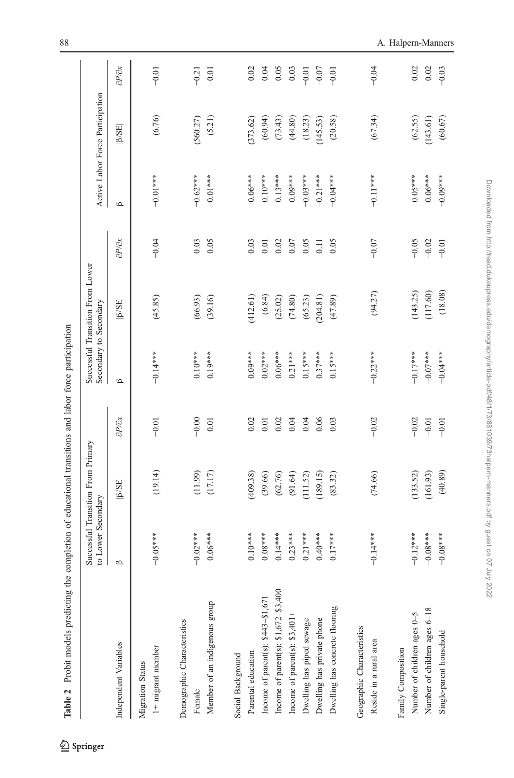<span id="page-15-0"></span>

|                                       | to Lower Secondary | Successful Transition From Primary |                         | Secondary to Secondary | Successful Transition From Lower |                         |             | Active Labor Force Participation |                         |
|---------------------------------------|--------------------|------------------------------------|-------------------------|------------------------|----------------------------------|-------------------------|-------------|----------------------------------|-------------------------|
| Independent Variables                 | ß                  | $8/8$ <sub>E</sub>                 | $\partial P/\partial x$ | $\circ$                | $ \beta/\mathrm{SE} $            | $\partial P/\partial x$ | ß           | $\beta$ /SE                      | $\partial P/\partial x$ |
| 1+ migrant member<br>Migration Status | $-0.05***$         | (19.14)                            | $-0.01$                 | $-0.14***$             | (45.85)                          | $-0.04$                 | $-0.01***$  | (6.76)                           | $-0.01$                 |
| Demographic Characteristics<br>Female | $-0.02***$         | (11.99)                            | $-0.00$                 | $0.10***$              | (66.93)                          | 0.03                    | $-0.62***$  | (560.27)                         | $-0.21$                 |
| Member of an indigenous group         | $0.06***$          | (17.17)                            | 0.01                    | $0.19***$              | (39.16)                          | 0.05                    | $-0.01***$  | (5.21)                           | $-0.01$                 |
| Social Background                     |                    |                                    |                         |                        |                                  |                         |             |                                  |                         |
| Parental education                    | $0.10***$          | (85.604)                           | 0.02                    | 0.09***                | (412.61)                         | 0.03                    | $-0.06$ *** | (373.62)                         | $-0.02$                 |
| Income of parent(s): \$443-\$1,671    | $0.08***$          | (39.66)                            | 0.01                    | $0.02***$              | (6.84)                           | 0.01                    | $0.10***$   | (60.94)                          | 0.04                    |
| Income of parent(s): \$1,672-\$3,400  | $0.14***$          | (62.76)                            | 0.02                    | $0.06***$              | (25.02)                          | 0.02                    | $0.13***$   | (73.43)                          | 0.05                    |
| Income of parent(s): \$3,401+         | $0.23***$          | (91.64)                            | 0.04                    | $0.21***$              | (74.80)                          | 0.07                    | $0.09***$   | (44.80)                          | 0.03                    |
| Dwelling has piped sewage             | $0.21***$          | (11.52)                            | 0.04                    | $0.15***$              | (65.23)                          | 0.05                    | $-0.03***$  | (18.23)                          | $-0.01$                 |
| Dwelling has private phone            | $0.40***$          | (189.15)                           | 0.06                    | $0.37***$              | (204.81)                         | 0.11                    | $-0.21***$  | (145.53)                         | $-0.07$                 |
| Dwelling has concrete flooring        | $0.17***$          | (83.32)                            | 0.03                    | $0.15***$              | (47.89)                          | 0.05                    | $-0.04***$  | (20.58)                          | $-0.01$                 |
| Geographic Characteristics            |                    |                                    |                         |                        |                                  |                         |             |                                  |                         |
| Reside in a rural area                | $-0.14***$         | (74.66)                            | $-0.02$                 | $-0.22***$             | (94.27)                          | $-0.07$                 | $-0.11**$   | (67.34)                          | $-0.04$                 |
| Family Composition                    |                    |                                    |                         |                        |                                  |                         |             |                                  |                         |
| Number of children ages 0-5           | $-0.12***$         | (133.52)                           | $-0.02$                 | $-0.17***$             | (143.25)                         | $-0.05$                 | $0.05***$   | (62.55)                          | 0.02                    |
| Number of children ages 6-18          | $-0.08***$         | (161.93)                           | $-0.01$                 | $-0.07***$             | (117.60)                         | $-0.02$                 | $0.06***$   | (143.61)                         | 0.02                    |
| Single-parent household               | $-0.08***$         | (40.89)                            | $-0.01$                 | $-0.04***$             | (18.08)                          | $-0.01$                 | $-0.09***$  | (60.67)                          | $-0.03$                 |

Table 2 Probit models predicting the completion of educational transitions and labor force participation Table 2 Probit models predicting the completion of educational transitions and labor force participation Downloaded from http://read.dukeupress.edu/demography/article-pdf/48/1/73/881039/73halpem-manners.pdf by guest on 07 July 2022 Downloaded from http://read.dukeupress.edu/demography/article-pdf/48/1/73/881039/73halpern-manners.pdf by guest on 07 July 2022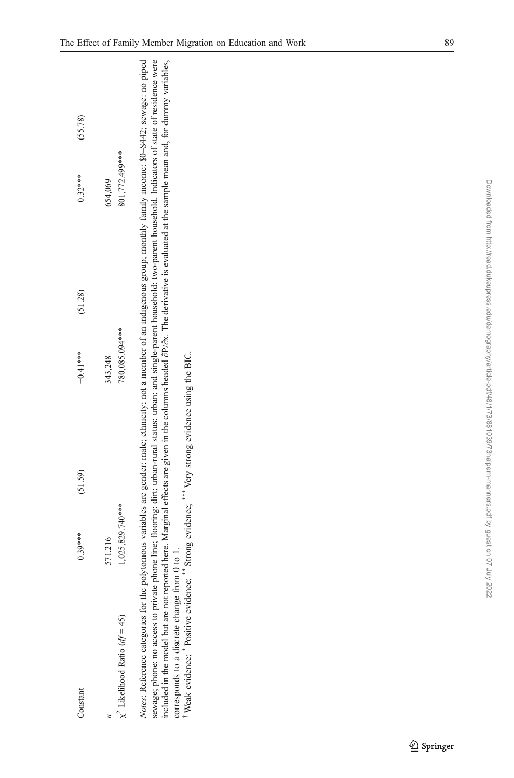| <b>Constant</b>                                                                                                                                                                                                                                                                                                                                                                                                                                                                                                                                                                                                            | $0.30***$          | (51.59) | $-0.41**$      | (51.28) | $0.32***$      | (55.78) |
|----------------------------------------------------------------------------------------------------------------------------------------------------------------------------------------------------------------------------------------------------------------------------------------------------------------------------------------------------------------------------------------------------------------------------------------------------------------------------------------------------------------------------------------------------------------------------------------------------------------------------|--------------------|---------|----------------|---------|----------------|---------|
|                                                                                                                                                                                                                                                                                                                                                                                                                                                                                                                                                                                                                            | 571,216            |         | 343,248        |         | 654,069        |         |
| $x^2$ Likelihood Ratio (df = 45)                                                                                                                                                                                                                                                                                                                                                                                                                                                                                                                                                                                           | $1,025,829.740***$ |         | 780,085.094*** |         | 801,772.499*** |         |
| ewage; phone: no access to private phone line; flooring; dirt; urban-rural status: urban; and single-parent household: two-parent household. Indicators of state of residence were<br>otes: Reference categories for the polytomous variables are gender: male; ethnicity: not a member of an indigenous group; monthly family income: \$0-\$442; sewage: no piped<br>ncluded in the model but are not reported here. Marginal effects are given in the columns headed $\partial V/\partial x$ . The derivative is evaluated at the sample mean and, for dummy variables,<br>corresponds to a discrete change from 0 to 1. |                    |         |                |         |                |         |

corresponds to a discrete change from 0 to 1.<br>
<sup>†</sup> Weak evidence;  $\overline{\phantom{a}}$  Positive evidence;  $\overline{\phantom{a}}$  Strong evidence;  $\overline{\phantom{a}}$  Very strong evidence using the BIC. Weak evidence; \* Positive evidence; \*\* Strong evidence; \*\*\* Very strong evidence using the BIC.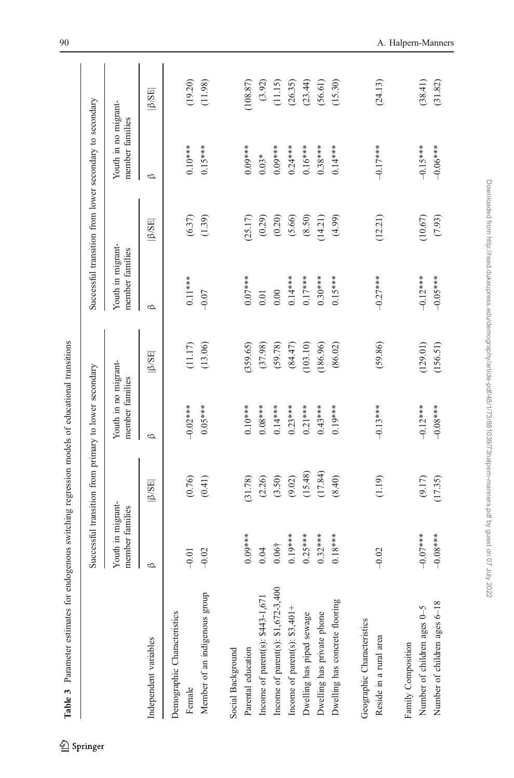| <br> <br>                                          |
|----------------------------------------------------|
|                                                    |
|                                                    |
| ĺ                                                  |
| <b>A CONTRACTOR CONTROL</b>                        |
| $-20$ and $-20$ and $-20$<br>Ì<br>$\vdots$<br>o st |
| ı                                                  |
|                                                    |
|                                                    |
|                                                    |
| ċ<br>i<br>I                                        |

<span id="page-17-0"></span>

| Table 3 Parameter estimates for endogenous switching regression models of educational transitions |                                      |              |                                                       |                     |                                      |             |                                                         |                       |
|---------------------------------------------------------------------------------------------------|--------------------------------------|--------------|-------------------------------------------------------|---------------------|--------------------------------------|-------------|---------------------------------------------------------|-----------------------|
|                                                                                                   |                                      |              | Successful transition from primary to lower secondary |                     |                                      |             | Successful transition from lower secondary to secondary |                       |
|                                                                                                   | Youth in migrant-<br>member families |              | Youth in no migrant-<br>member families               |                     | Youth in migrant-<br>member families |             | Youth in no migrant-<br>member families                 |                       |
| Independent variables                                                                             | $\circ$                              | $ \beta$ /SE | ß                                                     | $ \beta/\text{SE} $ | ß                                    | $\beta$ /SE | ß                                                       | $ \beta/\mathrm{SE} $ |
| Demographic Characteristics<br>Female                                                             | $-0.01$                              | (0.76)       | $-0.02***$                                            | (11.17)             | $0.11***$                            | (6.37)      | $0.10***$                                               | (19.20)               |
| Member of an indigenous group                                                                     | $-0.02$                              | (0.41)       | $0.05***$                                             | (13.06)             | $-0.07$                              | (1.39)      | $0.15***$                                               | (11.98)               |
| Social Background                                                                                 |                                      |              |                                                       |                     |                                      |             |                                                         |                       |
| Parental education                                                                                | $0.09***$                            | (31.78)      | $0.10***$                                             | (359.65)            | $0.07***$                            | (25.17)     | $0.09***$                                               | (108.87)              |
| Income of parent(s): \$443-1,671                                                                  | 0.04                                 | (2.26)       | $0.08***$                                             | (37.98)             | 0.01                                 | (0.29)      | $0.03*$                                                 | (3.92)                |
| Income of parent(s): \$1,672-3,400                                                                | $0.06\dagger$                        | (3.50)       | $0.14***$                                             | (59.78)             | 0.00                                 | (0.20)      | $0.09***$                                               | (11.15)               |
| Income of parent(s): \$3,401+                                                                     | $0.19***$                            | (9.02)       | $0.23***$                                             | (84.47)             | $0.14***$                            | (5.66)      | $0.24***$                                               | (26.35)               |
| Dwelling has piped sewage                                                                         | $0.25***$                            | (15.48)      | $0.21***$                                             | (103.10)            | $0.17***$                            | (8.50)      | $0.16***$                                               | (23.44)               |
| Dwelling has private phone                                                                        | $0.32***$                            | (17.84)      | $0.43***$                                             | (186.96)            | $0.30***$                            | (14.21)     | $0.38***$                                               | (56.61)               |
| Dwelling has concrete flooring                                                                    | $0.18***$                            | (8.40)       | $0.19***$                                             | (86.02)             | $0.15***$                            | (4.99)      | $0.14***$                                               | (15.30)               |
| Geographic Characteristics                                                                        |                                      |              |                                                       |                     |                                      |             |                                                         |                       |
| Reside in a rural area                                                                            | $-0.02$                              | (1.19)       | $-0.13***$                                            | (59.86)             | $-0.27***$                           | (12.21)     | $-0.17***$                                              | (24.13)               |
| Family Composition                                                                                |                                      |              |                                                       |                     |                                      |             |                                                         |                       |
| Number of children ages 0-5                                                                       | $-0.07$ ***                          | (9.17)       | $-0.12***$                                            | (129.01)            | $-0.12***$                           | (10.67)     | $-0.15***$                                              | (38.41)               |
| Number of children ages 6-18                                                                      | $-0.08***$                           | (17.35)      | $-0.08***$                                            | (156.51)            | $-0.05$ **                           | (7.93)      | $-0.06***$                                              | (31.82)               |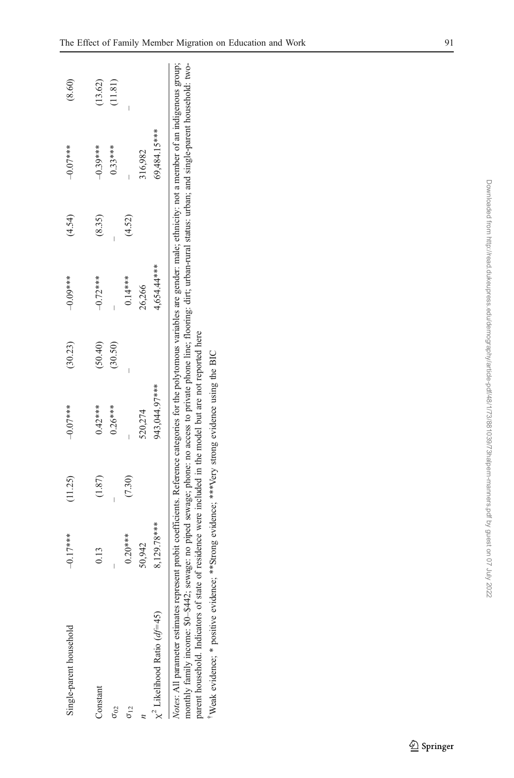| Single-parent household                                                                                                                                                           | $-0.17***$  | (11.25) | $-0.07**$     | (30.23) | $-0.09***$  | (4.54) | $-0.07***$   | (8.60)  |
|-----------------------------------------------------------------------------------------------------------------------------------------------------------------------------------|-------------|---------|---------------|---------|-------------|--------|--------------|---------|
| <b>Constant</b>                                                                                                                                                                   |             | (1.87)  | $0.42***$     | (50.40) | $-0.72***$  | (8.35) | $-0.39***$   | 13.62)  |
| $\sigma_{02}$                                                                                                                                                                     | I           |         | $0.26***$     | (30.50) |             |        | $0.33***$    | (11.81) |
| $\sigma_{12}$                                                                                                                                                                     | $0.20***$   | (7.30)  |               |         | $0.14***$   | (4.52) |              |         |
|                                                                                                                                                                                   | 50,942      |         | 520,274       |         | 26,266      |        | 316,982      |         |
| $x^2$ Likelihood Ratio ( $df=45$ )                                                                                                                                                | 8,129.78*** |         | 943,044.97*** |         | 4,654.44*** |        | 69,484.15*** |         |
| Notes: All parameter estimates represent probit coefficients. Reference categories for the polytomous variables are gender: male; ethnicity: not a member of an indigenous group; |             |         |               |         |             |        |              |         |

monthly family income: \$0-\$442; sewage: no piped sewage; phone: no access to private phone line; flooring: dirt; urban-rual status: urban; and single-parent household: two-<br>monthly family income: \$0-\$442; sewage: no piped monthly family income: \$0–\$442; sewage: no piped sewage; phone: no access to private phone line; flooring: dirt; urban-rural status: urban; and single-parent household: twoparent household. Indicators of state of residence were included in the model but are not reported here parent household. Indicators of state of residence were included in the model but are not reported here

Weak evidence; \* positive evidence; \*\*Strong evidence; \*\*\*Very strong evidence using the BIC †Weak evidence; \* positive evidence; \*\*Strong evidence; \*\*\*Very strong evidence using the BIC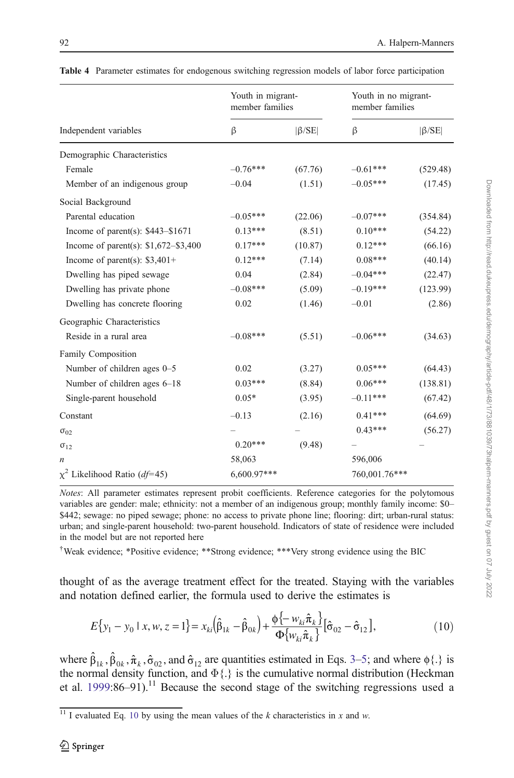|                                      | Youth in migrant-<br>member families |              | Youth in no migrant-<br>member families |              |
|--------------------------------------|--------------------------------------|--------------|-----------------------------------------|--------------|
| Independent variables                | $\beta$                              | $ \beta/SE $ | β                                       | $ \beta/SE $ |
| Demographic Characteristics          |                                      |              |                                         |              |
| Female                               | $-0.76***$                           | (67.76)      | $-0.61***$                              | (529.48)     |
| Member of an indigenous group        | $-0.04$                              | (1.51)       | $-0.05***$                              | (17.45)      |
| Social Background                    |                                      |              |                                         |              |
| Parental education                   | $-0.05***$                           | (22.06)      | $-0.07***$                              | (354.84)     |
| Income of parent(s): $$443-$1671$    | $0.13***$                            | (8.51)       | $0.10***$                               | (54.22)      |
| Income of parent(s): $$1,672-$3,400$ | $0.17***$                            | (10.87)      | $0.12***$                               | (66.16)      |
| Income of parent(s): $$3,401+$       | $0.12***$                            | (7.14)       | $0.08***$                               | (40.14)      |
| Dwelling has piped sewage            | 0.04                                 | (2.84)       | $-0.04***$                              | (22.47)      |
| Dwelling has private phone           | $-0.08***$                           | (5.09)       | $-0.19***$                              | (123.99)     |
| Dwelling has concrete flooring       | 0.02                                 | (1.46)       | $-0.01$                                 | (2.86)       |
| Geographic Characteristics           |                                      |              |                                         |              |
| Reside in a rural area               | $-0.08***$                           | (5.51)       | $-0.06***$                              | (34.63)      |
| Family Composition                   |                                      |              |                                         |              |
| Number of children ages 0–5          | 0.02                                 | (3.27)       | $0.05***$                               | (64.43)      |
| Number of children ages 6–18         | $0.03***$                            | (8.84)       | $0.06***$                               | (138.81)     |
| Single-parent household              | $0.05*$                              | (3.95)       | $-0.11***$                              | (67.42)      |
| Constant                             | $-0.13$                              | (2.16)       | $0.41***$                               | (64.69)      |
| $\sigma_{02}$                        |                                      |              | $0.43***$                               | (56.27)      |
| $\sigma_{12}$                        | $0.20***$                            | (9.48)       |                                         |              |
| $\boldsymbol{n}$                     | 58,063                               |              | 596,006                                 |              |
| $\chi^2$ Likelihood Ratio (df=45)    | 6,600.97***                          |              | 760,001.76***                           |              |

<span id="page-19-0"></span>Table 4 Parameter estimates for endogenous switching regression models of labor force participation

Notes: All parameter estimates represent probit coefficients. Reference categories for the polytomous variables are gender: male; ethnicity: not a member of an indigenous group; monthly family income: \$0– \$442; sewage: no piped sewage; phone: no access to private phone line; flooring: dirt; urban-rural status: urban; and single-parent household: two-parent household. Indicators of state of residence were included in the model but are not reported here

† Weak evidence; \*Positive evidence; \*\*Strong evidence; \*\*\*Very strong evidence using the BIC

thought of as the average treatment effect for the treated. Staying with the variables and notation defined earlier, the formula used to derive the estimates is

$$
E\{y_1 - y_0 \mid x, w, z = 1\} = x_{ki}(\hat{\beta}_{1k} - \hat{\beta}_{0k}) + \frac{\phi\{-w_{ki}\hat{\pi}_k\}}{\Phi\{w_{ki}\hat{\pi}_k\}}[\hat{\sigma}_{02} - \hat{\sigma}_{12}],
$$
(10)

where  $\hat{\beta}_{1k}$ ,  $\hat{\beta}_{0k}$ ,  $\hat{\pi}_k$ ,  $\hat{\sigma}_{02}$ , and  $\hat{\sigma}_{12}$  are quantities estimated in Eqs. [3](#page-9-0)–[5](#page-9-0); and where  $\phi\$ .} is the normal density function, and  $\Phi\{\cdot\}$  is the cumulative normal distribution (Heckman et al.  $1999:86-91$  $1999:86-91$ <sup>11</sup> Because the second stage of the switching regressions used a

<sup>&</sup>lt;sup>11</sup> I evaluated Eq. 10 by using the mean values of the k characteristics in x and w.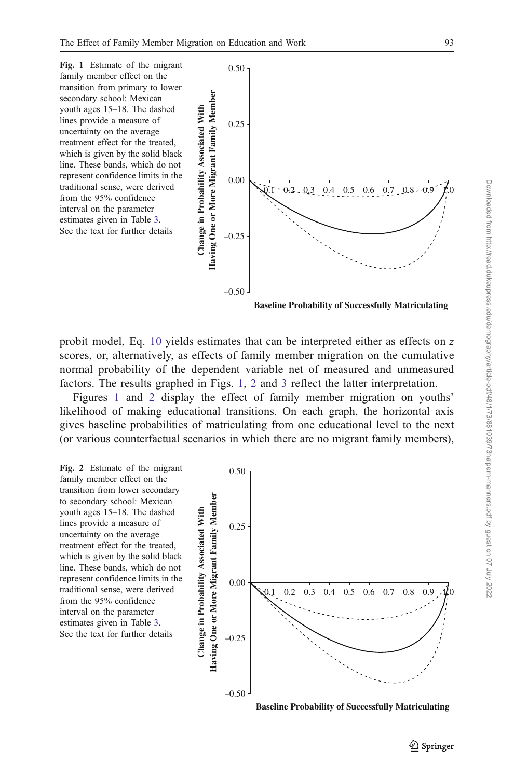<span id="page-20-0"></span>

probit model, Eq. [10](#page-19-0) yields estimates that can be interpreted either as effects on z scores, or, alternatively, as effects of family member migration on the cumulative normal probability of the dependent variable net of measured and unmeasured factors. The results graphed in Figs. 1, 2 and [3](#page-21-0) reflect the latter interpretation.

Figures 1 and 2 display the effect of family member migration on youths' likelihood of making educational transitions. On each graph, the horizontal axis gives baseline probabilities of matriculating from one educational level to the next (or various counterfactual scenarios in which there are no migrant family members),



**Baseline Probability of Successfully Matriculating**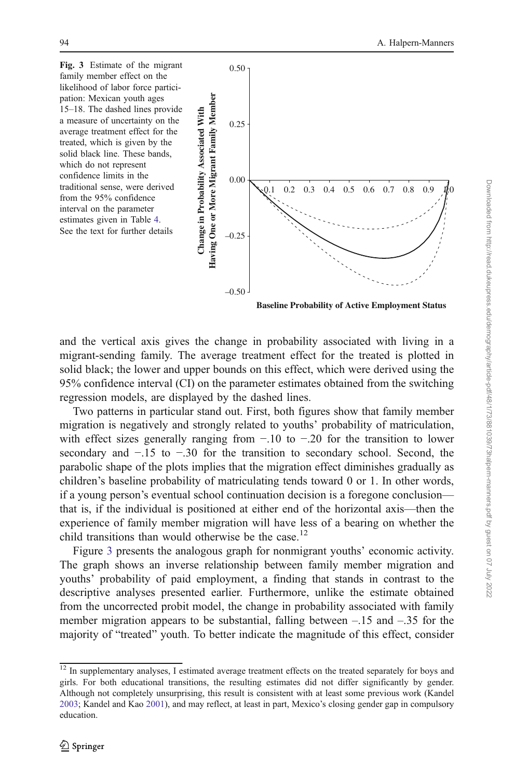<span id="page-21-0"></span>

and the vertical axis gives the change in probability associated with living in a migrant-sending family. The average treatment effect for the treated is plotted in solid black; the lower and upper bounds on this effect, which were derived using the 95% confidence interval (CI) on the parameter estimates obtained from the switching regression models, are displayed by the dashed lines.

Two patterns in particular stand out. First, both figures show that family member migration is negatively and strongly related to youths' probability of matriculation, with effect sizes generally ranging from −.10 to −.20 for the transition to lower secondary and −.15 to −.30 for the transition to secondary school. Second, the parabolic shape of the plots implies that the migration effect diminishes gradually as children's baseline probability of matriculating tends toward 0 or 1. In other words, if a young person's eventual school continuation decision is a foregone conclusion that is, if the individual is positioned at either end of the horizontal axis—then the experience of family member migration will have less of a bearing on whether the child transitions than would otherwise be the case.<sup>12</sup>

Figure 3 presents the analogous graph for nonmigrant youths' economic activity. The graph shows an inverse relationship between family member migration and youths' probability of paid employment, a finding that stands in contrast to the descriptive analyses presented earlier. Furthermore, unlike the estimate obtained from the uncorrected probit model, the change in probability associated with family member migration appears to be substantial, falling between –.15 and –.35 for the majority of "treated" youth. To better indicate the magnitude of this effect, consider

<sup>&</sup>lt;sup>12</sup> In supplementary analyses, I estimated average treatment effects on the treated separately for boys and girls. For both educational transitions, the resulting estimates did not differ significantly by gender. Although not completely unsurprising, this result is consistent with at least some previous work (Kandel [2003;](#page-24-0) Kandel and Kao [2001\)](#page-24-0), and may reflect, at least in part, Mexico's closing gender gap in compulsory education.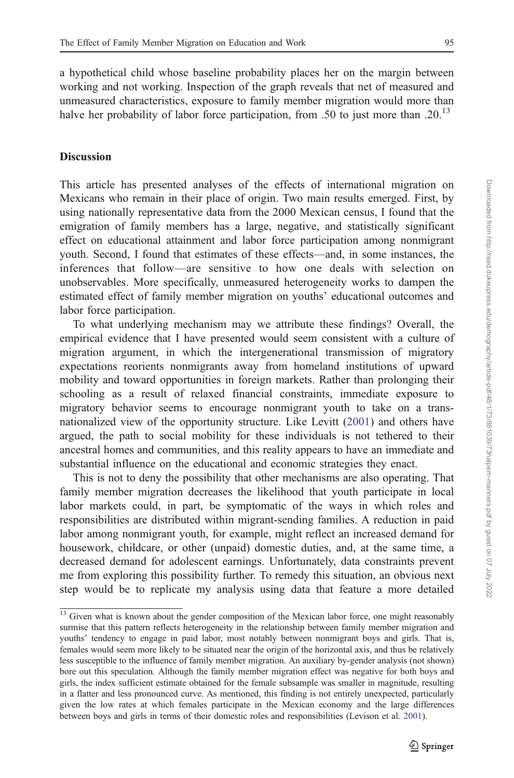a hypothetical child whose baseline probability places her on the margin between working and not working. Inspection of the graph reveals that net of measured and unmeasured characteristics, exposure to family member migration would more than halve her probability of labor force participation, from .50 to just more than .20.<sup>13</sup>

## **Discussion**

This article has presented analyses of the effects of international migration on Mexicans who remain in their place of origin. Two main results emerged. First, by using nationally representative data from the 2000 Mexican census, I found that the emigration of family members has a large, negative, and statistically significant effect on educational attainment and labor force participation among nonmigrant youth. Second, I found that estimates of these effects—and, in some instances, the inferences that follow—are sensitive to how one deals with selection on unobservables. More specifically, unmeasured heterogeneity works to dampen the estimated effect of family member migration on youths' educational outcomes and labor force participation.

To what underlying mechanism may we attribute these findings? Overall, the empirical evidence that I have presented would seem consistent with a culture of migration argument, in which the intergenerational transmission of migratory expectations reorients nonmigrants away from homeland institutions of upward mobility and toward opportunities in foreign markets. Rather than prolonging their schooling as a result of relaxed financial constraints, immediate exposure to migratory behavior seems to encourage nonmigrant youth to take on a transnationalized view of the opportunity structure. Like Levitt ([2001\)](#page-25-0) and others have argued, the path to social mobility for these individuals is not tethered to their ancestral homes and communities, and this reality appears to have an immediate and substantial influence on the educational and economic strategies they enact.

This is not to deny the possibility that other mechanisms are also operating. That family member migration decreases the likelihood that youth participate in local labor markets could, in part, be symptomatic of the ways in which roles and responsibilities are distributed within migrant-sending families. A reduction in paid labor among nonmigrant youth, for example, might reflect an increased demand for housework, childcare, or other (unpaid) domestic duties, and, at the same time, a decreased demand for adolescent earnings. Unfortunately, data constraints prevent me from exploring this possibility further. To remedy this situation, an obvious next step would be to replicate my analysis using data that feature a more detailed

<sup>&</sup>lt;sup>13</sup> Given what is known about the gender composition of the Mexican labor force, one might reasonably surmise that this pattern reflects heterogeneity in the relationship between family member migration and youths' tendency to engage in paid labor, most notably between nonmigrant boys and girls. That is, females would seem more likely to be situated near the origin of the horizontal axis, and thus be relatively less susceptible to the influence of family member migration. An auxiliary by-gender analysis (not shown) bore out this speculation. Although the family member migration effect was negative for both boys and girls, the index sufficient estimate obtained for the female subsample was smaller in magnitude, resulting in a flatter and less pronounced curve. As mentioned, this finding is not entirely unexpected, particularly given the low rates at which females participate in the Mexican economy and the large differences between boys and girls in terms of their domestic roles and responsibilities (Levison et al. [2001](#page-25-0)).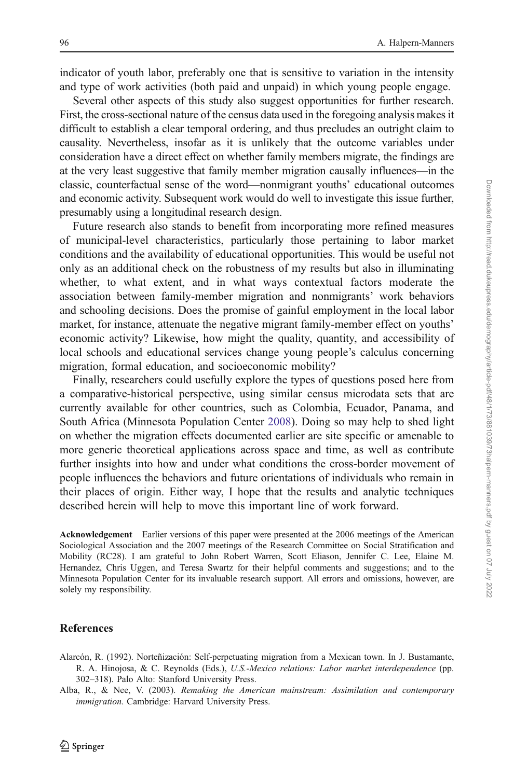<span id="page-23-0"></span>indicator of youth labor, preferably one that is sensitive to variation in the intensity and type of work activities (both paid and unpaid) in which young people engage.

Several other aspects of this study also suggest opportunities for further research. First, the cross-sectional nature of the census data used in the foregoing analysis makes it difficult to establish a clear temporal ordering, and thus precludes an outright claim to causality. Nevertheless, insofar as it is unlikely that the outcome variables under consideration have a direct effect on whether family members migrate, the findings are at the very least suggestive that family member migration causally influences—in the classic, counterfactual sense of the word—nonmigrant youths' educational outcomes and economic activity. Subsequent work would do well to investigate this issue further, presumably using a longitudinal research design.

Future research also stands to benefit from incorporating more refined measures of municipal-level characteristics, particularly those pertaining to labor market conditions and the availability of educational opportunities. This would be useful not only as an additional check on the robustness of my results but also in illuminating whether, to what extent, and in what ways contextual factors moderate the association between family-member migration and nonmigrants' work behaviors and schooling decisions. Does the promise of gainful employment in the local labor market, for instance, attenuate the negative migrant family-member effect on youths' economic activity? Likewise, how might the quality, quantity, and accessibility of local schools and educational services change young people's calculus concerning migration, formal education, and socioeconomic mobility?

Finally, researchers could usefully explore the types of questions posed here from a comparative-historical perspective, using similar census microdata sets that are currently available for other countries, such as Colombia, Ecuador, Panama, and South Africa (Minnesota Population Center [2008](#page-25-0)). Doing so may help to shed light on whether the migration effects documented earlier are site specific or amenable to more generic theoretical applications across space and time, as well as contribute further insights into how and under what conditions the cross-border movement of people influences the behaviors and future orientations of individuals who remain in their places of origin. Either way, I hope that the results and analytic techniques described herein will help to move this important line of work forward.

Acknowledgement Earlier versions of this paper were presented at the 2006 meetings of the American Sociological Association and the 2007 meetings of the Research Committee on Social Stratification and Mobility (RC28). I am grateful to John Robert Warren, Scott Eliason, Jennifer C. Lee, Elaine M. Hernandez, Chris Uggen, and Teresa Swartz for their helpful comments and suggestions; and to the Minnesota Population Center for its invaluable research support. All errors and omissions, however, are solely my responsibility.

## **References**

Alarcón, R. (1992). Norteñización: Self-perpetuating migration from a Mexican town. In J. Bustamante, R. A. Hinojosa, & C. Reynolds (Eds.), U.S.-Mexico relations: Labor market interdependence (pp. 302–318). Palo Alto: Stanford University Press.

Alba, R., & Nee, V. (2003). Remaking the American mainstream: Assimilation and contemporary immigration. Cambridge: Harvard University Press.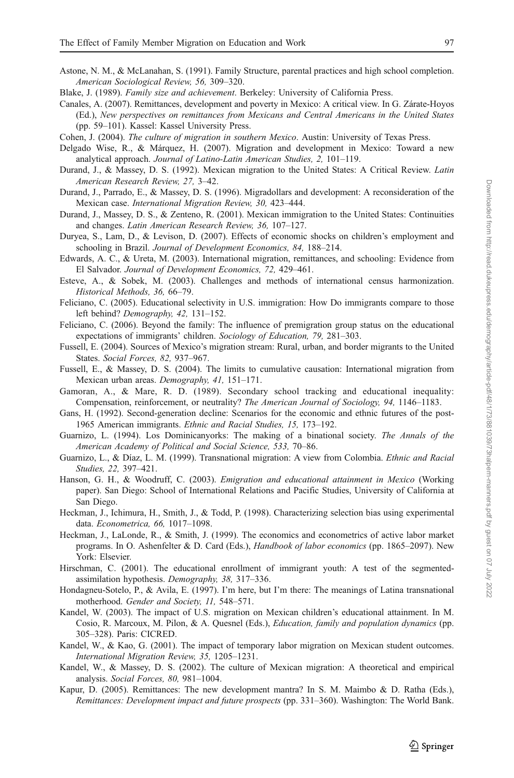- <span id="page-24-0"></span>Astone, N. M., & McLanahan, S. (1991). Family Structure, parental practices and high school completion. American Sociological Review, 56, 309–320.
- Blake, J. (1989). Family size and achievement. Berkeley: University of California Press.
- Canales, A. (2007). Remittances, development and poverty in Mexico: A critical view. In G. Zárate-Hoyos (Ed.), New perspectives on remittances from Mexicans and Central Americans in the United States (pp. 59–101). Kassel: Kassel University Press.
- Cohen, J. (2004). The culture of migration in southern Mexico. Austin: University of Texas Press.
- Delgado Wise, R., & Márquez, H. (2007). Migration and development in Mexico: Toward a new analytical approach. Journal of Latino-Latin American Studies, 2, 101–119.
- Durand, J., & Massey, D. S. (1992). Mexican migration to the United States: A Critical Review. Latin American Research Review, 27, 3–42.
- Durand, J., Parrado, E., & Massey, D. S. (1996). Migradollars and development: A reconsideration of the Mexican case. International Migration Review, 30, 423–444.
- Durand, J., Massey, D. S., & Zenteno, R. (2001). Mexican immigration to the United States: Continuities and changes. Latin American Research Review, 36, 107–127.
- Duryea, S., Lam, D., & Levison, D. (2007). Effects of economic shocks on children's employment and schooling in Brazil. Journal of Development Economics, 84, 188–214.
- Edwards, A. C., & Ureta, M. (2003). International migration, remittances, and schooling: Evidence from El Salvador. Journal of Development Economics, 72, 429–461.
- Esteve, A., & Sobek, M. (2003). Challenges and methods of international census harmonization. Historical Methods, 36, 66–79.
- Feliciano, C. (2005). Educational selectivity in U.S. immigration: How Do immigrants compare to those left behind? Demography, 42, 131–152.
- Feliciano, C. (2006). Beyond the family: The influence of premigration group status on the educational expectations of immigrants' children. Sociology of Education, 79, 281–303.
- Fussell, E. (2004). Sources of Mexico's migration stream: Rural, urban, and border migrants to the United States. Social Forces, 82, 937-967.
- Fussell, E., & Massey, D. S. (2004). The limits to cumulative causation: International migration from Mexican urban areas. Demography, 41, 151–171.
- Gamoran, A., & Mare, R. D. (1989). Secondary school tracking and educational inequality: Compensation, reinforcement, or neutrality? The American Journal of Sociology, 94, 1146–1183.
- Gans, H. (1992). Second-generation decline: Scenarios for the economic and ethnic futures of the post-1965 American immigrants. Ethnic and Racial Studies, 15, 173–192.
- Guarnizo, L. (1994). Los Dominicanyorks: The making of a binational society. The Annals of the American Academy of Political and Social Science, 533, 70–86.
- Guarnizo, L., & Díaz, L. M. (1999). Transnational migration: A view from Colombia. Ethnic and Racial Studies, 22, 397–421.
- Hanson, G. H., & Woodruff, C. (2003). *Emigration and educational attainment in Mexico* (Working paper). San Diego: School of International Relations and Pacific Studies, University of California at San Diego.
- Heckman, J., Ichimura, H., Smith, J., & Todd, P. (1998). Characterizing selection bias using experimental data. Econometrica, 66, 1017–1098.
- Heckman, J., LaLonde, R., & Smith, J. (1999). The economics and econometrics of active labor market programs. In O. Ashenfelter & D. Card (Eds.), Handbook of labor economics (pp. 1865–2097). New York: Elsevier.
- Hirschman, C. (2001). The educational enrollment of immigrant youth: A test of the segmentedassimilation hypothesis. Demography, 38, 317–336.
- Hondagneu-Sotelo, P., & Avila, E. (1997). I'm here, but I'm there: The meanings of Latina transnational motherhood. Gender and Society, 11, 548–571.
- Kandel, W. (2003). The impact of U.S. migration on Mexican children's educational attainment. In M. Cosio, R. Marcoux, M. Pilon, & A. Quesnel (Eds.), Education, family and population dynamics (pp. 305–328). Paris: CICRED.
- Kandel, W., & Kao, G. (2001). The impact of temporary labor migration on Mexican student outcomes. International Migration Review, 35, 1205–1231.
- Kandel, W., & Massey, D. S. (2002). The culture of Mexican migration: A theoretical and empirical analysis. Social Forces, 80, 981–1004.
- Kapur, D. (2005). Remittances: The new development mantra? In S. M. Maimbo & D. Ratha (Eds.), Remittances: Development impact and future prospects (pp. 331–360). Washington: The World Bank.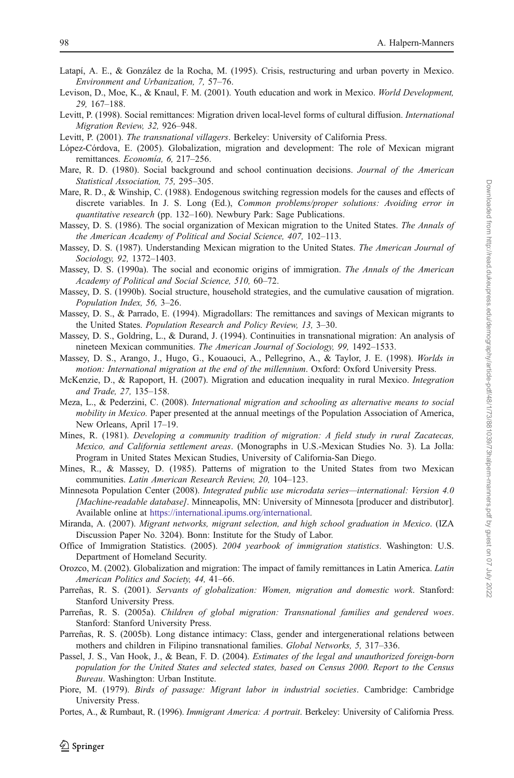- <span id="page-25-0"></span>Latapí, A. E., & González de la Rocha, M. (1995). Crisis, restructuring and urban poverty in Mexico. Environment and Urbanization, 7, 57–76.
- Levison, D., Moe, K., & Knaul, F. M. (2001). Youth education and work in Mexico. World Development, 29, 167–188.
- Levitt, P. (1998). Social remittances: Migration driven local-level forms of cultural diffusion. International Migration Review, 32, 926–948.
- Levitt, P. (2001). The transnational villagers. Berkeley: University of California Press.
- López-Córdova, E. (2005). Globalization, migration and development: The role of Mexican migrant remittances. Economía, 6, 217–256.
- Mare, R. D. (1980). Social background and school continuation decisions. Journal of the American Statistical Association, 75, 295–305.
- Mare, R. D., & Winship, C. (1988). Endogenous switching regression models for the causes and effects of discrete variables. In J. S. Long (Ed.), Common problems/proper solutions: Avoiding error in quantitative research (pp. 132–160). Newbury Park: Sage Publications.
- Massey, D. S. (1986). The social organization of Mexican migration to the United States. The Annals of the American Academy of Political and Social Science, 407, 102–113.
- Massey, D. S. (1987). Understanding Mexican migration to the United States. The American Journal of Sociology, 92, 1372–1403.
- Massey, D. S. (1990a). The social and economic origins of immigration. The Annals of the American Academy of Political and Social Science, 510, 60–72.
- Massey, D. S. (1990b). Social structure, household strategies, and the cumulative causation of migration. Population Index, 56, 3–26.
- Massey, D. S., & Parrado, E. (1994). Migradollars: The remittances and savings of Mexican migrants to the United States. Population Research and Policy Review, 13, 3–30.
- Massey, D. S., Goldring, L., & Durand, J. (1994). Continuities in transnational migration: An analysis of nineteen Mexican communities. The American Journal of Sociology, 99, 1492–1533.
- Massey, D. S., Arango, J., Hugo, G., Kouaouci, A., Pellegrino, A., & Taylor, J. E. (1998). Worlds in motion: International migration at the end of the millennium. Oxford: Oxford University Press.
- McKenzie, D., & Rapoport, H. (2007). Migration and education inequality in rural Mexico. Integration and Trade, 27, 135–158.
- Meza, L., & Pederzini, C. (2008). International migration and schooling as alternative means to social mobility in Mexico. Paper presented at the annual meetings of the Population Association of America, New Orleans, April 17–19.
- Mines, R. (1981). Developing a community tradition of migration: A field study in rural Zacatecas, Mexico, and California settlement areas. (Monographs in U.S.-Mexican Studies No. 3). La Jolla: Program in United States Mexican Studies, University of California-San Diego.
- Mines, R., & Massey, D. (1985). Patterns of migration to the United States from two Mexican communities. Latin American Research Review, 20, 104–123.
- Minnesota Population Center (2008). Integrated public use microdata series—international: Version 4.0 [Machine-readable database]. Minneapolis, MN: University of Minnesota [producer and distributor]. Available online at [https://international.ipums.org/international](http://dx.doi.org/10.1007/s13524-010-0010-3).
- Miranda, A. (2007). Migrant networks, migrant selection, and high school graduation in Mexico. (IZA Discussion Paper No. 3204). Bonn: Institute for the Study of Labor.
- Office of Immigration Statistics. (2005). 2004 yearbook of immigration statistics. Washington: U.S. Department of Homeland Security.
- Orozco, M. (2002). Globalization and migration: The impact of family remittances in Latin America. Latin American Politics and Society, 44, 41–66.
- Parreñas, R. S. (2001). Servants of globalization: Women, migration and domestic work. Stanford: Stanford University Press.
- Parreñas, R. S. (2005a). Children of global migration: Transnational families and gendered woes. Stanford: Stanford University Press.
- Parreñas, R. S. (2005b). Long distance intimacy: Class, gender and intergenerational relations between mothers and children in Filipino transnational families. Global Networks, 5, 317–336.
- Passel, J. S., Van Hook, J., & Bean, F. D. (2004). Estimates of the legal and unauthorized foreign-born population for the United States and selected states, based on Census 2000. Report to the Census Bureau. Washington: Urban Institute.
- Piore, M. (1979). Birds of passage: Migrant labor in industrial societies. Cambridge: Cambridge University Press.
- Portes, A., & Rumbaut, R. (1996). Immigrant America: A portrait. Berkeley: University of California Press.